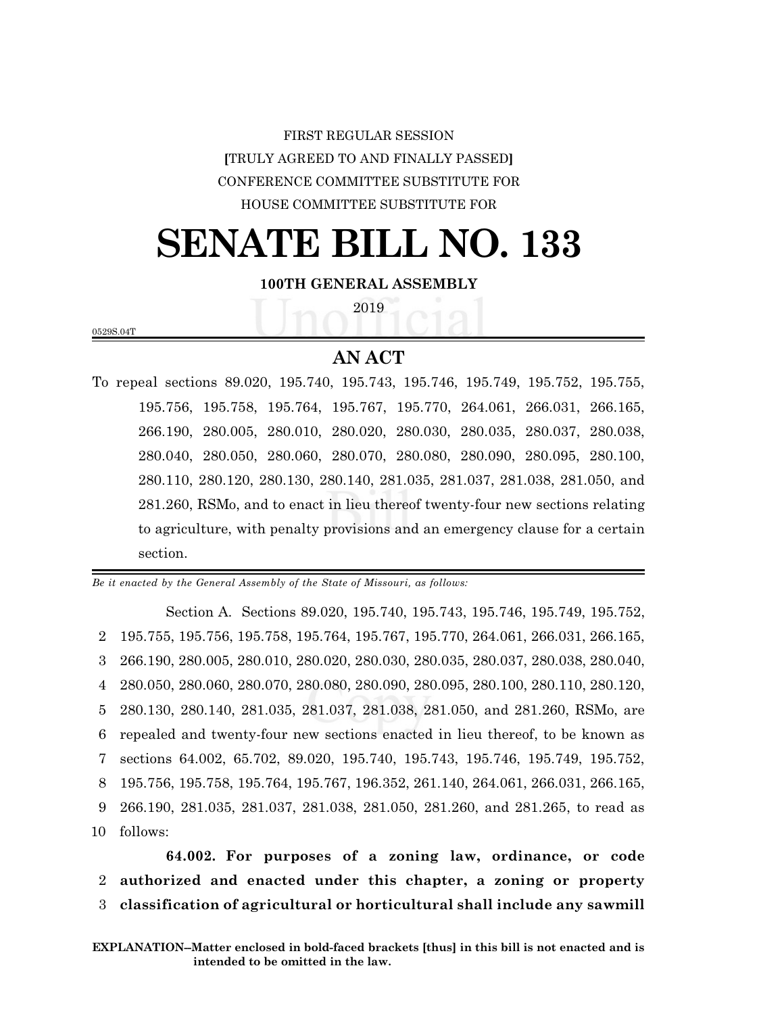# FIRST REGULAR SESSION **[**TRULY AGREED TO AND FINALLY PASSED**]** CONFERENCE COMMITTEE SUBSTITUTE FOR HOUSE COMMITTEE SUBSTITUTE FOR

# **SENATE BILL NO. 133**

#### **100TH GENERAL ASSEMBLY**

2019

0529S.04T

## **AN ACT**

To repeal sections 89.020, 195.740, 195.743, 195.746, 195.749, 195.752, 195.755, 195.756, 195.758, 195.764, 195.767, 195.770, 264.061, 266.031, 266.165, 266.190, 280.005, 280.010, 280.020, 280.030, 280.035, 280.037, 280.038, 280.040, 280.050, 280.060, 280.070, 280.080, 280.090, 280.095, 280.100, 280.110, 280.120, 280.130, 280.140, 281.035, 281.037, 281.038, 281.050, and 281.260, RSMo, and to enact in lieu thereof twenty-four new sections relating to agriculture, with penalty provisions and an emergency clause for a certain section.

*Be it enacted by the General Assembly of the State of Missouri, as follows:*

Section A. Sections 89.020, 195.740, 195.743, 195.746, 195.749, 195.752, 195.755, 195.756, 195.758, 195.764, 195.767, 195.770, 264.061, 266.031, 266.165, 266.190, 280.005, 280.010, 280.020, 280.030, 280.035, 280.037, 280.038, 280.040, 280.050, 280.060, 280.070, 280.080, 280.090, 280.095, 280.100, 280.110, 280.120, 280.130, 280.140, 281.035, 281.037, 281.038, 281.050, and 281.260, RSMo, are repealed and twenty-four new sections enacted in lieu thereof, to be known as sections 64.002, 65.702, 89.020, 195.740, 195.743, 195.746, 195.749, 195.752, 195.756, 195.758, 195.764, 195.767, 196.352, 261.140, 264.061, 266.031, 266.165, 266.190, 281.035, 281.037, 281.038, 281.050, 281.260, and 281.265, to read as 10 follows:

**64.002. For purposes of a zoning law, ordinance, or code** 2 **authorized and enacted under this chapter, a zoning or property** 3 **classification of agricultural or horticultural shall include any sawmill**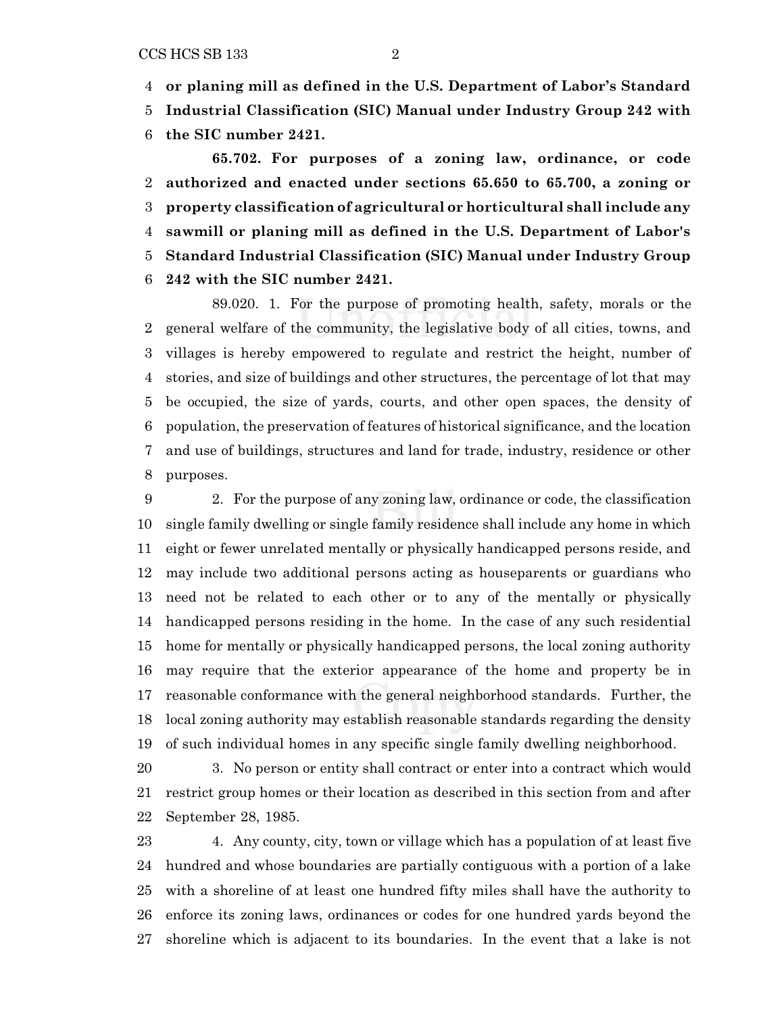**or planing mill as defined in the U.S. Department of Labor's Standard**

 **Industrial Classification (SIC) Manual under Industry Group 242 with the SIC number 2421.**

**65.702. For purposes of a zoning law, ordinance, or code authorized and enacted under sections 65.650 to 65.700, a zoning or property classification of agricultural or horticultural shall include any sawmill or planing mill as defined in the U.S. Department of Labor's Standard Industrial Classification (SIC) Manual under Industry Group 242 with the SIC number 2421.**

89.020. 1. For the purpose of promoting health, safety, morals or the general welfare of the community, the legislative body of all cities, towns, and villages is hereby empowered to regulate and restrict the height, number of stories, and size of buildings and other structures, the percentage of lot that may be occupied, the size of yards, courts, and other open spaces, the density of population, the preservation of features of historical significance, and the location and use of buildings, structures and land for trade, industry, residence or other purposes.

 2. For the purpose of any zoning law, ordinance or code, the classification single family dwelling or single family residence shall include any home in which eight or fewer unrelated mentally or physically handicapped persons reside, and may include two additional persons acting as houseparents or guardians who need not be related to each other or to any of the mentally or physically handicapped persons residing in the home. In the case of any such residential home for mentally or physically handicapped persons, the local zoning authority may require that the exterior appearance of the home and property be in reasonable conformance with the general neighborhood standards. Further, the local zoning authority may establish reasonable standards regarding the density of such individual homes in any specific single family dwelling neighborhood.

 3. No person or entity shall contract or enter into a contract which would restrict group homes or their location as described in this section from and after September 28, 1985.

 4. Any county, city, town or village which has a population of at least five hundred and whose boundaries are partially contiguous with a portion of a lake with a shoreline of at least one hundred fifty miles shall have the authority to enforce its zoning laws, ordinances or codes for one hundred yards beyond the shoreline which is adjacent to its boundaries. In the event that a lake is not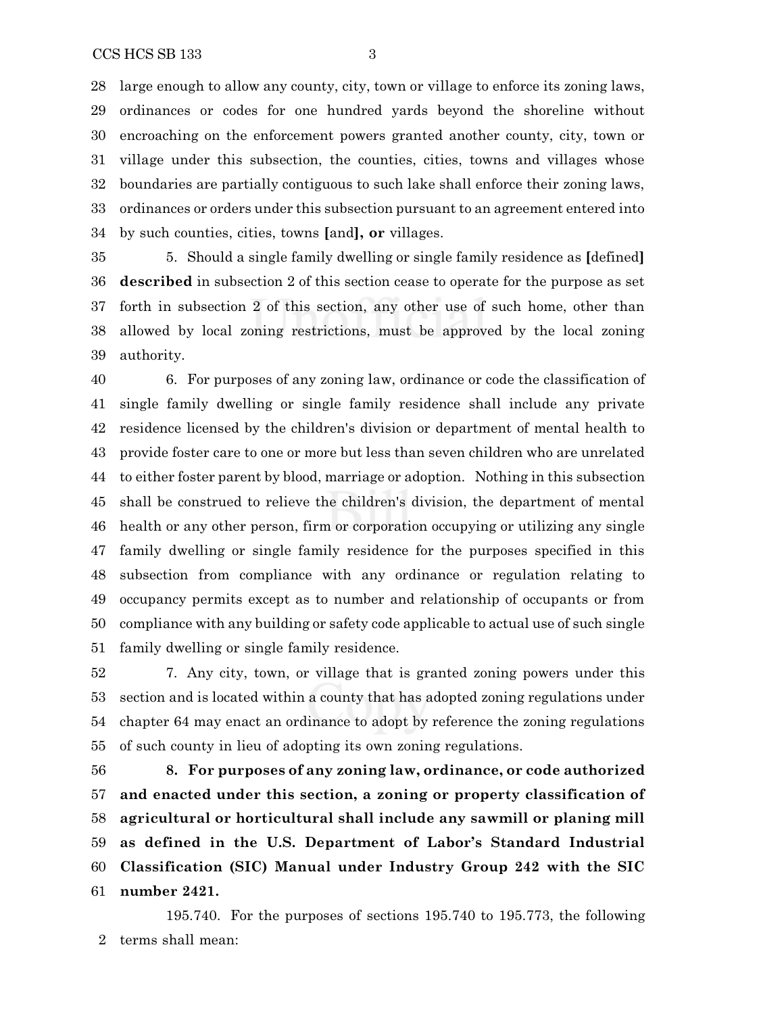large enough to allow any county, city, town or village to enforce its zoning laws, ordinances or codes for one hundred yards beyond the shoreline without encroaching on the enforcement powers granted another county, city, town or village under this subsection, the counties, cities, towns and villages whose boundaries are partially contiguous to such lake shall enforce their zoning laws, ordinances or orders under this subsection pursuant to an agreement entered into by such counties, cities, towns **[**and**], or** villages.

 5. Should a single family dwelling or single family residence as **[**defined**] described** in subsection 2 of this section cease to operate for the purpose as set forth in subsection 2 of this section, any other use of such home, other than allowed by local zoning restrictions, must be approved by the local zoning authority.

 6. For purposes of any zoning law, ordinance or code the classification of single family dwelling or single family residence shall include any private residence licensed by the children's division or department of mental health to provide foster care to one or more but less than seven children who are unrelated to either foster parent by blood, marriage or adoption. Nothing in this subsection shall be construed to relieve the children's division, the department of mental health or any other person, firm or corporation occupying or utilizing any single family dwelling or single family residence for the purposes specified in this subsection from compliance with any ordinance or regulation relating to occupancy permits except as to number and relationship of occupants or from compliance with any building or safety code applicable to actual use of such single family dwelling or single family residence.

 7. Any city, town, or village that is granted zoning powers under this section and is located within a county that has adopted zoning regulations under chapter 64 may enact an ordinance to adopt by reference the zoning regulations of such county in lieu of adopting its own zoning regulations.

 **8. For purposes of any zoning law, ordinance, or code authorized and enacted under this section, a zoning or property classification of agricultural or horticultural shall include any sawmill or planing mill as defined in the U.S. Department of Labor's Standard Industrial Classification (SIC) Manual under Industry Group 242 with the SIC number 2421.**

195.740. For the purposes of sections 195.740 to 195.773, the following terms shall mean: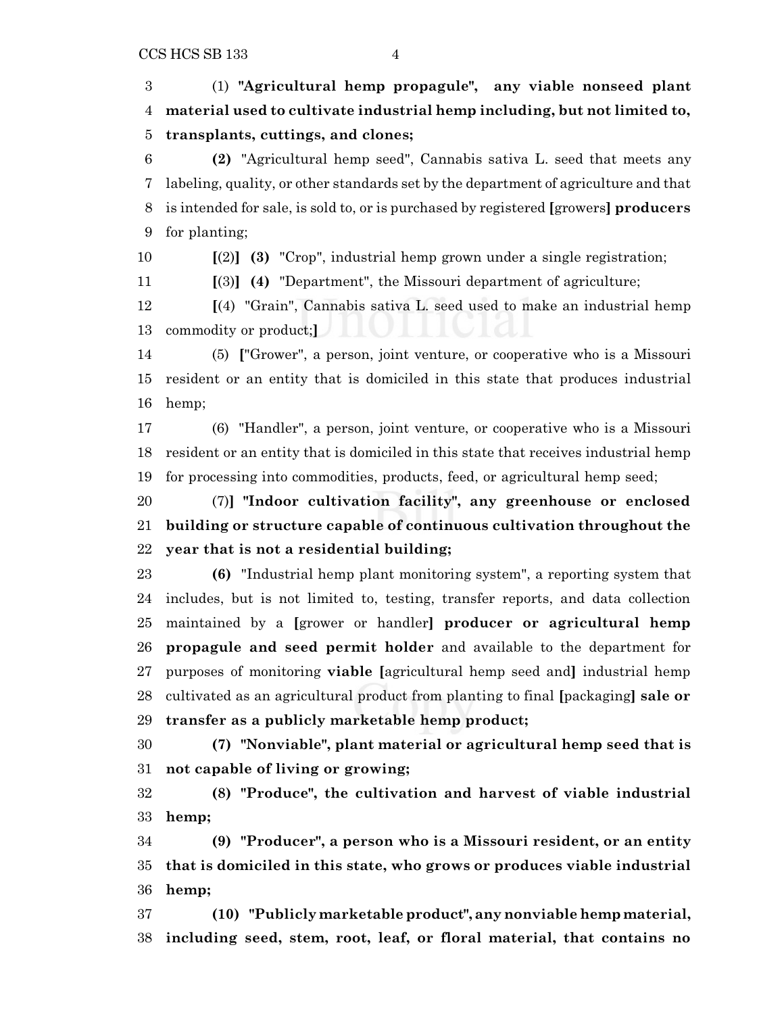(1) **"Agricultural hemp propagule", any viable nonseed plant material used to cultivate industrial hemp including, but not limited to, transplants, cuttings, and clones;**

 **(2)** "Agricultural hemp seed", Cannabis sativa L. seed that meets any labeling, quality, or other standards set by the department of agriculture and that is intended for sale, is sold to, or is purchased by registered **[**growers**] producers** for planting;

**[**(2)**] (3)** "Crop", industrial hemp grown under a single registration;

**[**(3)**] (4)** "Department", the Missouri department of agriculture;

 **[**(4) "Grain", Cannabis sativa L. seed used to make an industrial hemp commodity or product;**]**

 (5) **[**"Grower", a person, joint venture, or cooperative who is a Missouri resident or an entity that is domiciled in this state that produces industrial hemp;

 (6) "Handler", a person, joint venture, or cooperative who is a Missouri resident or an entity that is domiciled in this state that receives industrial hemp for processing into commodities, products, feed, or agricultural hemp seed;

 (7)**] "Indoor cultivation facility", any greenhouse or enclosed building or structure capable of continuous cultivation throughout the year that is not a residential building;**

 **(6)** "Industrial hemp plant monitoring system", a reporting system that includes, but is not limited to, testing, transfer reports, and data collection maintained by a **[**grower or handler**] producer or agricultural hemp propagule and seed permit holder** and available to the department for purposes of monitoring **viable [**agricultural hemp seed and**]** industrial hemp cultivated as an agricultural product from planting to final **[**packaging**] sale or transfer as a publicly marketable hemp product;**

 **(7) "Nonviable", plant material or agricultural hemp seed that is not capable of living or growing;**

 **(8) "Produce", the cultivation and harvest of viable industrial hemp;**

 **(9) "Producer", a person who is a Missouri resident, or an entity that is domiciled in this state, who grows or produces viable industrial hemp;**

 **(10) "Publicly marketable product", anynonviable hemp material, including seed, stem, root, leaf, or floral material, that contains no**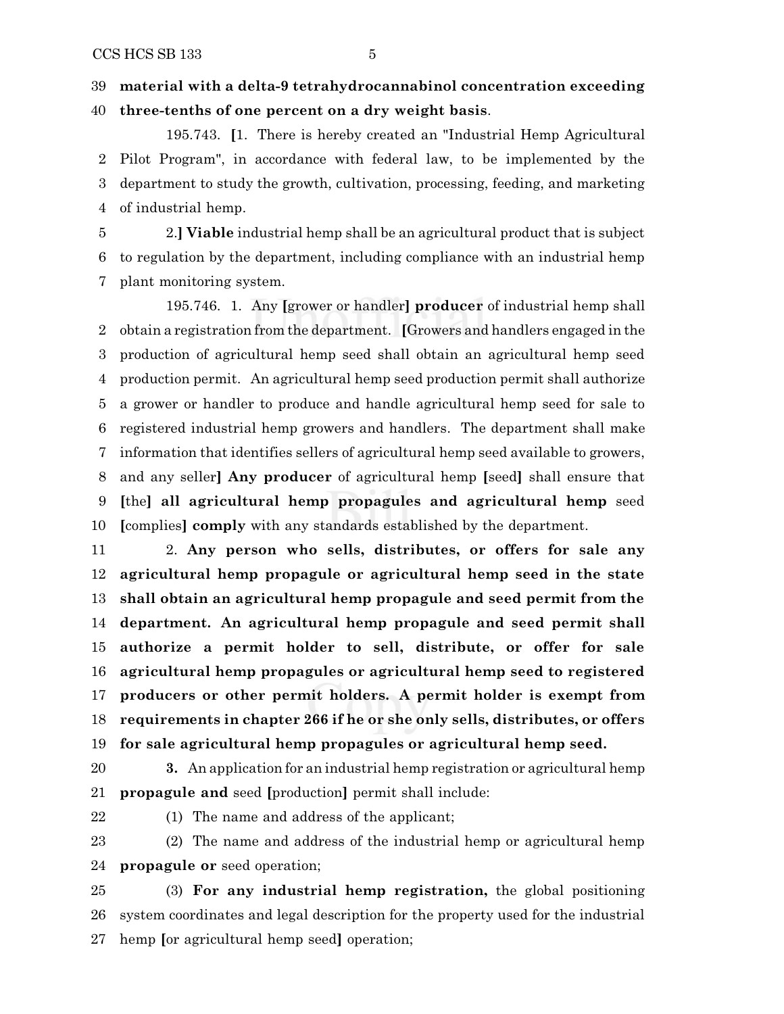### **material with a delta-9 tetrahydrocannabinol concentration exceeding**

**three-tenths of one percent on a dry weight basis**.

195.743. **[**1. There is hereby created an "Industrial Hemp Agricultural Pilot Program", in accordance with federal law, to be implemented by the department to study the growth, cultivation, processing, feeding, and marketing of industrial hemp.

 2.**] Viable** industrial hemp shall be an agricultural product that is subject to regulation by the department, including compliance with an industrial hemp plant monitoring system.

195.746. 1. Any **[**grower or handler**] producer** of industrial hemp shall obtain a registration from the department. **[**Growers and handlers engaged in the production of agricultural hemp seed shall obtain an agricultural hemp seed production permit. An agricultural hemp seed production permit shall authorize a grower or handler to produce and handle agricultural hemp seed for sale to registered industrial hemp growers and handlers. The department shall make information that identifies sellers of agricultural hemp seed available to growers, and any seller**] Any producer** of agricultural hemp **[**seed**]** shall ensure that **[**the**] all agricultural hemp propagules and agricultural hemp** seed **[**complies**] comply** with any standards established by the department.

 2. **Any person who sells, distributes, or offers for sale any agricultural hemp propagule or agricultural hemp seed in the state shall obtain an agricultural hemp propagule and seed permit from the department. An agricultural hemp propagule and seed permit shall authorize a permit holder to sell, distribute, or offer for sale agricultural hemp propagules or agricultural hemp seed to registered producers or other permit holders. A permit holder is exempt from requirements in chapter 266 if he or she only sells, distributes, or offers for sale agricultural hemp propagules or agricultural hemp seed.**

 **3.** An application for an industrial hemp registration or agricultural hemp **propagule and** seed **[**production**]** permit shall include:

(1) The name and address of the applicant;

 (2) The name and address of the industrial hemp or agricultural hemp **propagule or** seed operation;

 (3) **For any industrial hemp registration,** the global positioning system coordinates and legal description for the property used for the industrial hemp **[**or agricultural hemp seed**]** operation;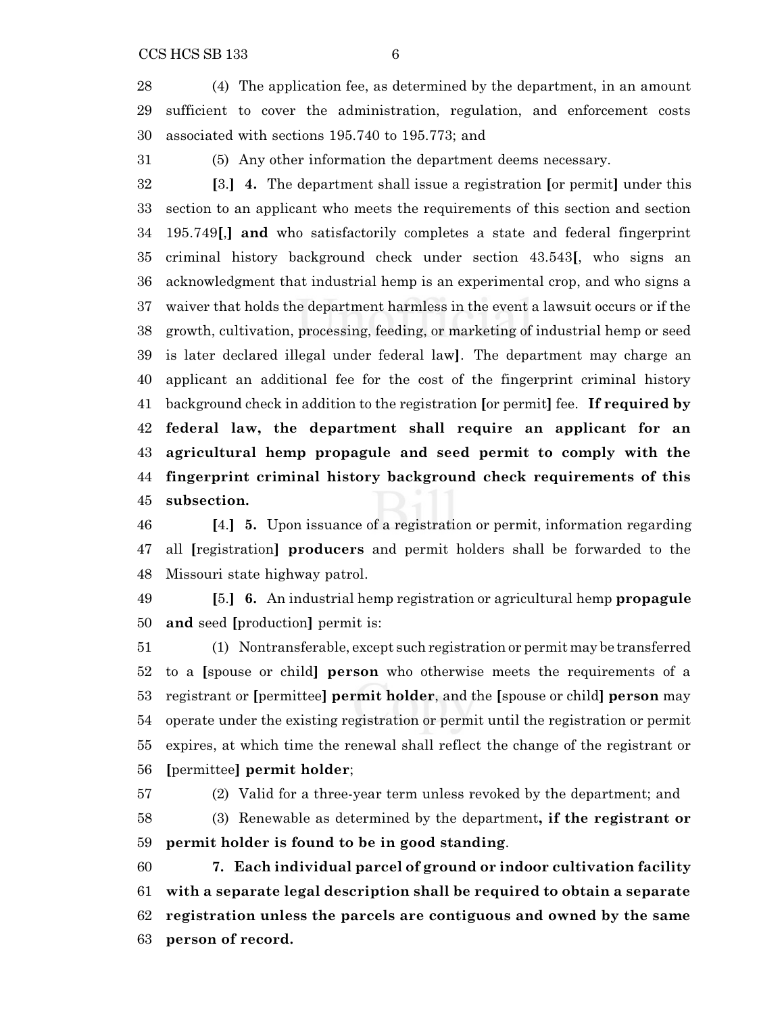(4) The application fee, as determined by the department, in an amount sufficient to cover the administration, regulation, and enforcement costs associated with sections 195.740 to 195.773; and

(5) Any other information the department deems necessary.

 **[**3.**] 4.** The department shall issue a registration **[**or permit**]** under this section to an applicant who meets the requirements of this section and section 195.749**[**,**] and** who satisfactorily completes a state and federal fingerprint criminal history background check under section 43.543**[**, who signs an acknowledgment that industrial hemp is an experimental crop, and who signs a waiver that holds the department harmless in the event a lawsuit occurs or if the growth, cultivation, processing, feeding, or marketing of industrial hemp or seed is later declared illegal under federal law**]**. The department may charge an applicant an additional fee for the cost of the fingerprint criminal history background check in addition to the registration **[**or permit**]** fee. **If required by federal law, the department shall require an applicant for an agricultural hemp propagule and seed permit to comply with the fingerprint criminal history background check requirements of this subsection.**

 **[**4.**] 5.** Upon issuance of a registration or permit, information regarding all **[**registration**] producers** and permit holders shall be forwarded to the Missouri state highway patrol.

 **[**5.**] 6.** An industrial hemp registration or agricultural hemp **propagule and** seed **[**production**]** permit is:

 (1) Nontransferable, except such registration or permit may be transferred to a **[**spouse or child**] person** who otherwise meets the requirements of a registrant or **[**permittee**] permit holder**, and the **[**spouse or child**] person** may operate under the existing registration or permit until the registration or permit expires, at which time the renewal shall reflect the change of the registrant or **[**permittee**] permit holder**;

(2) Valid for a three-year term unless revoked by the department; and

 (3) Renewable as determined by the department**, if the registrant or permit holder is found to be in good standing**.

 **7. Each individual parcel of ground or indoor cultivation facility with a separate legal description shall be required to obtain a separate registration unless the parcels are contiguous and owned by the same person of record.**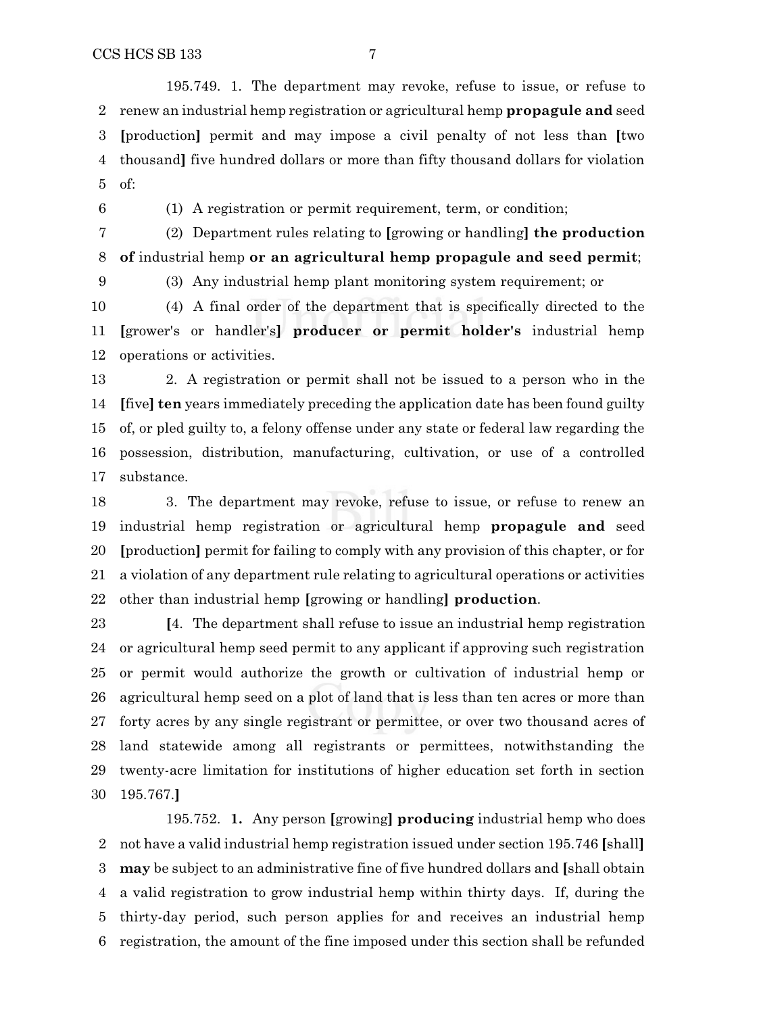195.749. 1. The department may revoke, refuse to issue, or refuse to renew an industrial hemp registration or agricultural hemp **propagule and** seed **[**production**]** permit and may impose a civil penalty of not less than **[**two thousand**]** five hundred dollars or more than fifty thousand dollars for violation of:

(1) A registration or permit requirement, term, or condition;

 (2) Department rules relating to **[**growing or handling**] the production of** industrial hemp **or an agricultural hemp propagule and seed permit**;

(3) Any industrial hemp plant monitoring system requirement; or

 (4) A final order of the department that is specifically directed to the **[**grower's or handler's**] producer or permit holder's** industrial hemp operations or activities.

 2. A registration or permit shall not be issued to a person who in the **[**five**] ten** years immediately preceding the application date has been found guilty of, or pled guilty to, a felony offense under any state or federal law regarding the possession, distribution, manufacturing, cultivation, or use of a controlled substance.

 3. The department may revoke, refuse to issue, or refuse to renew an industrial hemp registration or agricultural hemp **propagule and** seed **[**production**]** permit for failing to comply with any provision of this chapter, or for a violation of any department rule relating to agricultural operations or activities other than industrial hemp **[**growing or handling**] production**.

 **[**4. The department shall refuse to issue an industrial hemp registration or agricultural hemp seed permit to any applicant if approving such registration or permit would authorize the growth or cultivation of industrial hemp or agricultural hemp seed on a plot of land that is less than ten acres or more than forty acres by any single registrant or permittee, or over two thousand acres of land statewide among all registrants or permittees, notwithstanding the twenty-acre limitation for institutions of higher education set forth in section 195.767.**]**

195.752. **1.** Any person **[**growing**] producing** industrial hemp who does not have a valid industrial hemp registration issued under section 195.746 **[**shall**] may** be subject to an administrative fine of five hundred dollars and **[**shall obtain a valid registration to grow industrial hemp within thirty days. If, during the thirty-day period, such person applies for and receives an industrial hemp registration, the amount of the fine imposed under this section shall be refunded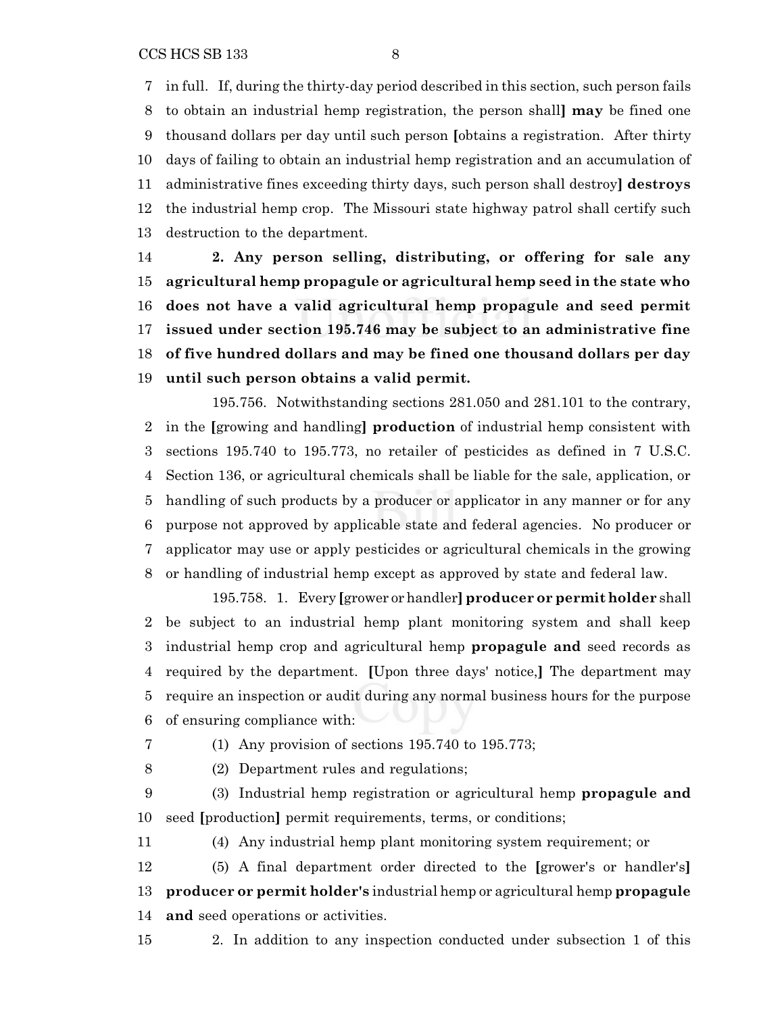in full. If, during the thirty-day period described in this section, such person fails to obtain an industrial hemp registration, the person shall**] may** be fined one thousand dollars per day until such person **[**obtains a registration. After thirty days of failing to obtain an industrial hemp registration and an accumulation of administrative fines exceeding thirty days, such person shall destroy**] destroys** the industrial hemp crop. The Missouri state highway patrol shall certify such destruction to the department.

 **2. Any person selling, distributing, or offering for sale any agricultural hemp propagule or agricultural hemp seed in the state who does not have a valid agricultural hemp propagule and seed permit issued under section 195.746 may be subject to an administrative fine of five hundred dollars and may be fined one thousand dollars per day until such person obtains a valid permit.**

195.756. Notwithstanding sections 281.050 and 281.101 to the contrary, in the **[**growing and handling**] production** of industrial hemp consistent with sections 195.740 to 195.773, no retailer of pesticides as defined in 7 U.S.C. Section 136, or agricultural chemicals shall be liable for the sale, application, or handling of such products by a producer or applicator in any manner or for any purpose not approved by applicable state and federal agencies. No producer or applicator may use or apply pesticides or agricultural chemicals in the growing or handling of industrial hemp except as approved by state and federal law.

195.758. 1. Every **[**grower or handler**] producer or permitholder** shall be subject to an industrial hemp plant monitoring system and shall keep industrial hemp crop and agricultural hemp **propagule and** seed records as required by the department. **[**Upon three days' notice,**]** The department may require an inspection or audit during any normal business hours for the purpose of ensuring compliance with:

(1) Any provision of sections 195.740 to 195.773;

(2) Department rules and regulations;

 (3) Industrial hemp registration or agricultural hemp **propagule and** seed **[**production**]** permit requirements, terms, or conditions;

(4) Any industrial hemp plant monitoring system requirement; or

 (5) A final department order directed to the **[**grower's or handler's**] producer or permit holder's** industrial hemp or agricultural hemp **propagule and** seed operations or activities.

2. In addition to any inspection conducted under subsection 1 of this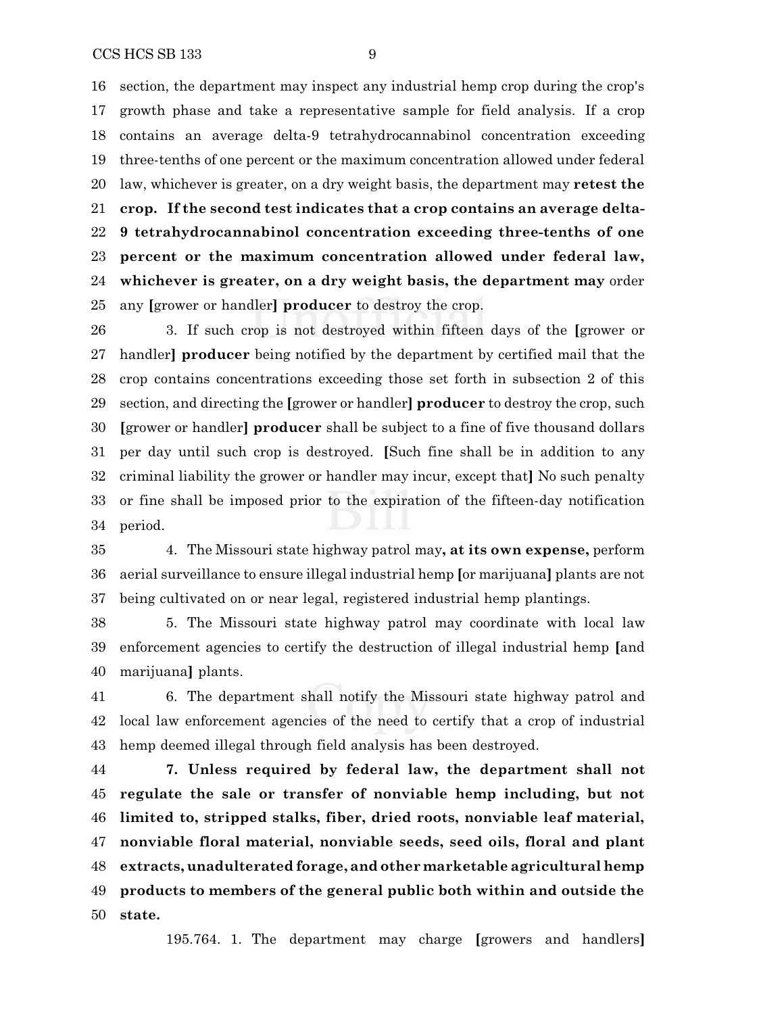section, the department may inspect any industrial hemp crop during the crop's growth phase and take a representative sample for field analysis. If a crop contains an average delta-9 tetrahydrocannabinol concentration exceeding three-tenths of one percent or the maximum concentration allowed under federal law, whichever is greater, on a dry weight basis, the department may **retest the crop. If the second test indicates that a crop contains an average delta- 9 tetrahydrocannabinol concentration exceeding three-tenths of one percent or the maximum concentration allowed under federal law, whichever is greater, on a dry weight basis, the department may** order any **[**grower or handler**] producer** to destroy the crop.

 3. If such crop is not destroyed within fifteen days of the **[**grower or handler**] producer** being notified by the department by certified mail that the crop contains concentrations exceeding those set forth in subsection 2 of this section, and directing the **[**grower or handler**] producer** to destroy the crop, such **[**grower or handler**] producer** shall be subject to a fine of five thousand dollars per day until such crop is destroyed. **[**Such fine shall be in addition to any criminal liability the grower or handler may incur, except that**]** No such penalty or fine shall be imposed prior to the expiration of the fifteen-day notification period.

 4. The Missouri state highway patrol may**, at its own expense,** perform aerial surveillance to ensure illegal industrial hemp **[**or marijuana**]** plants are not being cultivated on or near legal, registered industrial hemp plantings.

 5. The Missouri state highway patrol may coordinate with local law enforcement agencies to certify the destruction of illegal industrial hemp **[**and marijuana**]** plants.

 6. The department shall notify the Missouri state highway patrol and local law enforcement agencies of the need to certify that a crop of industrial hemp deemed illegal through field analysis has been destroyed.

 **7. Unless required by federal law, the department shall not regulate the sale or transfer of nonviable hemp including, but not limited to, stripped stalks, fiber, dried roots, nonviable leaf material, nonviable floral material, nonviable seeds, seed oils, floral and plant extracts, unadulterated forage, and other marketable agricultural hemp products to members of the general public both within and outside the state.**

195.764. 1. The department may charge **[**growers and handlers**]**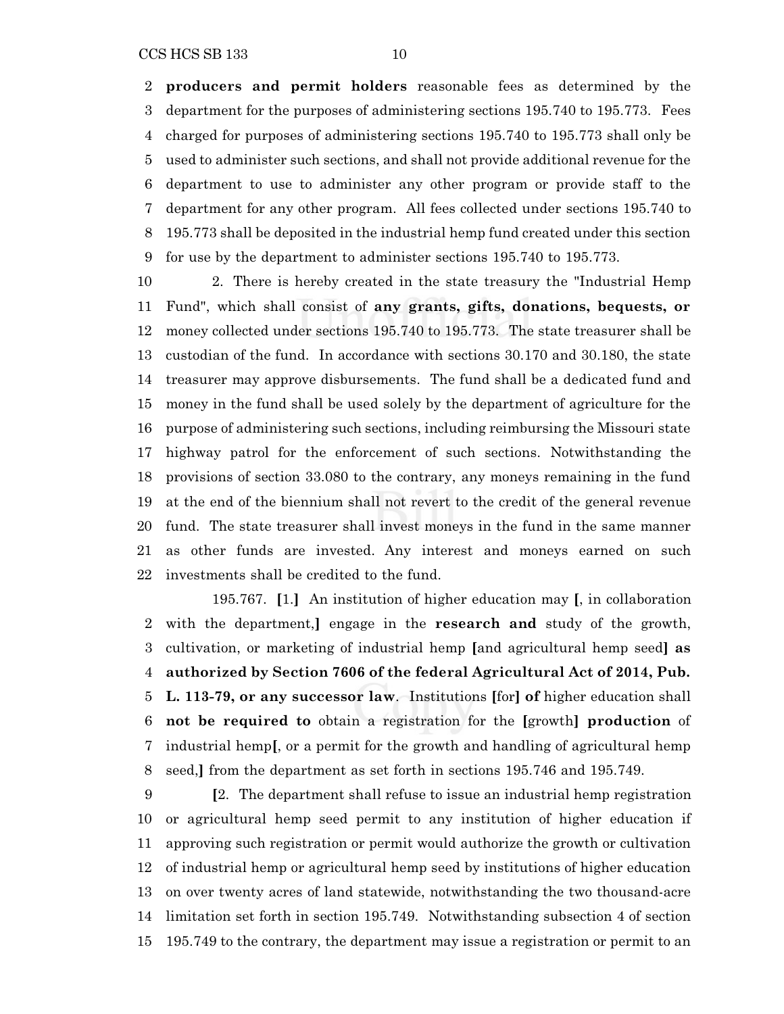**producers and permit holders** reasonable fees as determined by the department for the purposes of administering sections 195.740 to 195.773. Fees charged for purposes of administering sections 195.740 to 195.773 shall only be used to administer such sections, and shall not provide additional revenue for the department to use to administer any other program or provide staff to the department for any other program. All fees collected under sections 195.740 to 195.773 shall be deposited in the industrial hemp fund created under this section for use by the department to administer sections 195.740 to 195.773.

 2. There is hereby created in the state treasury the "Industrial Hemp Fund", which shall consist of **any grants, gifts, donations, bequests, or** money collected under sections 195.740 to 195.773. The state treasurer shall be custodian of the fund. In accordance with sections 30.170 and 30.180, the state treasurer may approve disbursements. The fund shall be a dedicated fund and money in the fund shall be used solely by the department of agriculture for the purpose of administering such sections, including reimbursing the Missouri state highway patrol for the enforcement of such sections. Notwithstanding the provisions of section 33.080 to the contrary, any moneys remaining in the fund at the end of the biennium shall not revert to the credit of the general revenue fund. The state treasurer shall invest moneys in the fund in the same manner as other funds are invested. Any interest and moneys earned on such investments shall be credited to the fund.

195.767. **[**1.**]** An institution of higher education may **[**, in collaboration with the department,**]** engage in the **research and** study of the growth, cultivation, or marketing of industrial hemp **[**and agricultural hemp seed**] as authorized by Section 7606 of the federal Agricultural Act of 2014, Pub. L. 113-79, or any successor law**. Institutions **[**for**] of** higher education shall **not be required to** obtain a registration for the **[**growth**] production** of industrial hemp**[**, or a permit for the growth and handling of agricultural hemp seed,**]** from the department as set forth in sections 195.746 and 195.749.

 **[**2. The department shall refuse to issue an industrial hemp registration or agricultural hemp seed permit to any institution of higher education if approving such registration or permit would authorize the growth or cultivation of industrial hemp or agricultural hemp seed by institutions of higher education on over twenty acres of land statewide, notwithstanding the two thousand-acre limitation set forth in section 195.749. Notwithstanding subsection 4 of section 195.749 to the contrary, the department may issue a registration or permit to an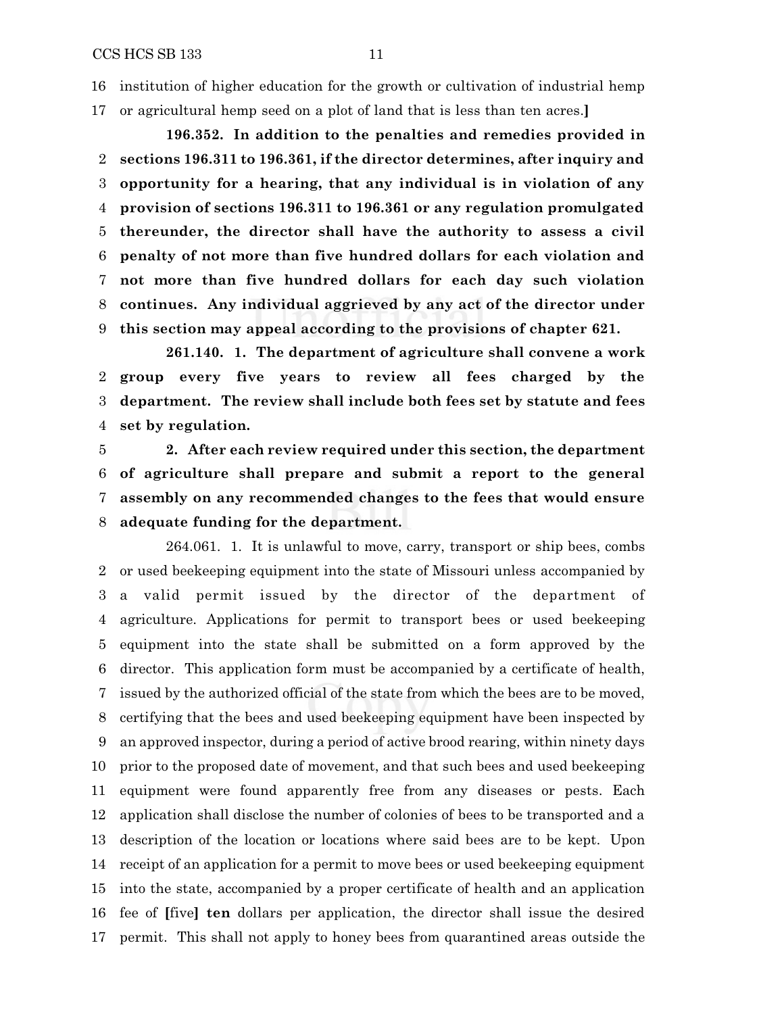institution of higher education for the growth or cultivation of industrial hemp or agricultural hemp seed on a plot of land that is less than ten acres.**]**

**196.352. In addition to the penalties and remedies provided in sections 196.311 to 196.361, if the director determines, after inquiry and opportunity for a hearing, that any individual is in violation of any provision of sections 196.311 to 196.361 or any regulation promulgated thereunder, the director shall have the authority to assess a civil penalty of not more than five hundred dollars for each violation and not more than five hundred dollars for each day such violation continues. Any individual aggrieved by any act of the director under this section may appeal according to the provisions of chapter 621.**

**261.140. 1. The department of agriculture shall convene a work group every five years to review all fees charged by the department. The review shall include both fees set by statute and fees set by regulation.**

 **2. After each review required under this section, the department of agriculture shall prepare and submit a report to the general assembly on any recommended changes to the fees that would ensure adequate funding for the department.**

264.061. 1. It is unlawful to move, carry, transport or ship bees, combs or used beekeeping equipment into the state of Missouri unless accompanied by a valid permit issued by the director of the department of agriculture. Applications for permit to transport bees or used beekeeping equipment into the state shall be submitted on a form approved by the director. This application form must be accompanied by a certificate of health, issued by the authorized official of the state from which the bees are to be moved, certifying that the bees and used beekeeping equipment have been inspected by an approved inspector, during a period of active brood rearing, within ninety days prior to the proposed date of movement, and that such bees and used beekeeping equipment were found apparently free from any diseases or pests. Each application shall disclose the number of colonies of bees to be transported and a description of the location or locations where said bees are to be kept. Upon receipt of an application for a permit to move bees or used beekeeping equipment into the state, accompanied by a proper certificate of health and an application fee of **[**five**] ten** dollars per application, the director shall issue the desired permit. This shall not apply to honey bees from quarantined areas outside the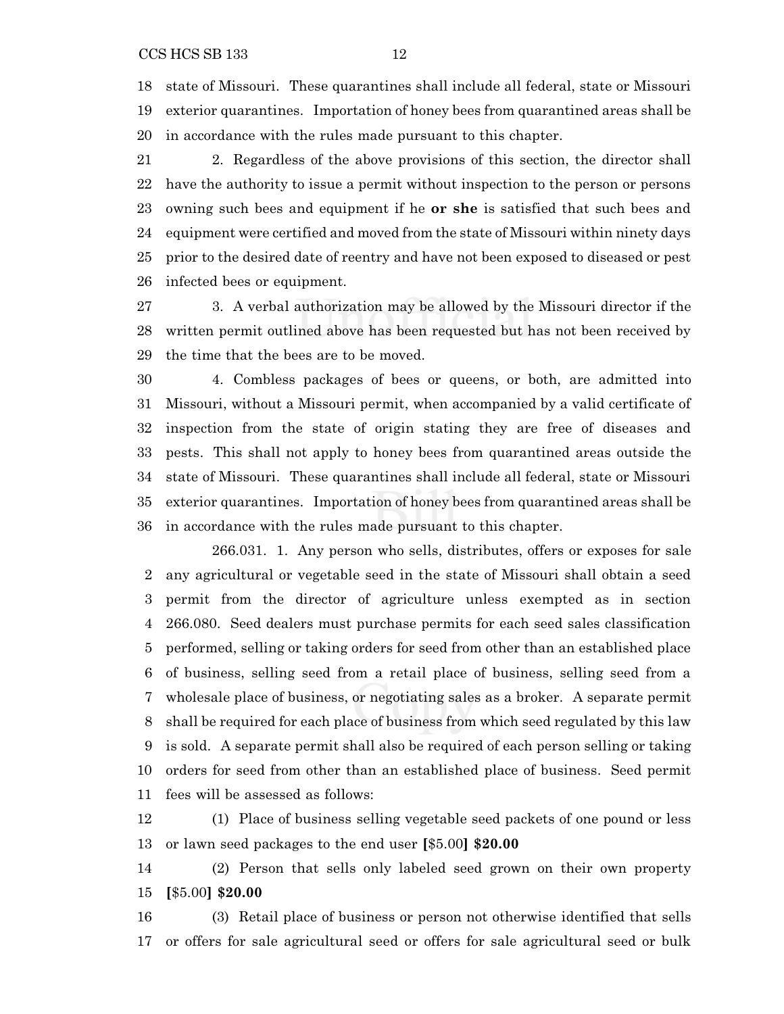state of Missouri. These quarantines shall include all federal, state or Missouri exterior quarantines. Importation of honey bees from quarantined areas shall be in accordance with the rules made pursuant to this chapter.

 2. Regardless of the above provisions of this section, the director shall have the authority to issue a permit without inspection to the person or persons owning such bees and equipment if he **or she** is satisfied that such bees and equipment were certified and moved from the state of Missouri within ninety days prior to the desired date of reentry and have not been exposed to diseased or pest infected bees or equipment.

 3. A verbal authorization may be allowed by the Missouri director if the written permit outlined above has been requested but has not been received by the time that the bees are to be moved.

 4. Combless packages of bees or queens, or both, are admitted into Missouri, without a Missouri permit, when accompanied by a valid certificate of inspection from the state of origin stating they are free of diseases and pests. This shall not apply to honey bees from quarantined areas outside the state of Missouri. These quarantines shall include all federal, state or Missouri exterior quarantines. Importation of honey bees from quarantined areas shall be in accordance with the rules made pursuant to this chapter.

266.031. 1. Any person who sells, distributes, offers or exposes for sale any agricultural or vegetable seed in the state of Missouri shall obtain a seed permit from the director of agriculture unless exempted as in section 266.080. Seed dealers must purchase permits for each seed sales classification performed, selling or taking orders for seed from other than an established place of business, selling seed from a retail place of business, selling seed from a wholesale place of business, or negotiating sales as a broker. A separate permit shall be required for each place of business from which seed regulated by this law is sold. A separate permit shall also be required of each person selling or taking orders for seed from other than an established place of business. Seed permit fees will be assessed as follows:

 (1) Place of business selling vegetable seed packets of one pound or less or lawn seed packages to the end user **[**\$5.00**] \$20.00**

 (2) Person that sells only labeled seed grown on their own property **[**\$5.00**] \$20.00**

 (3) Retail place of business or person not otherwise identified that sells or offers for sale agricultural seed or offers for sale agricultural seed or bulk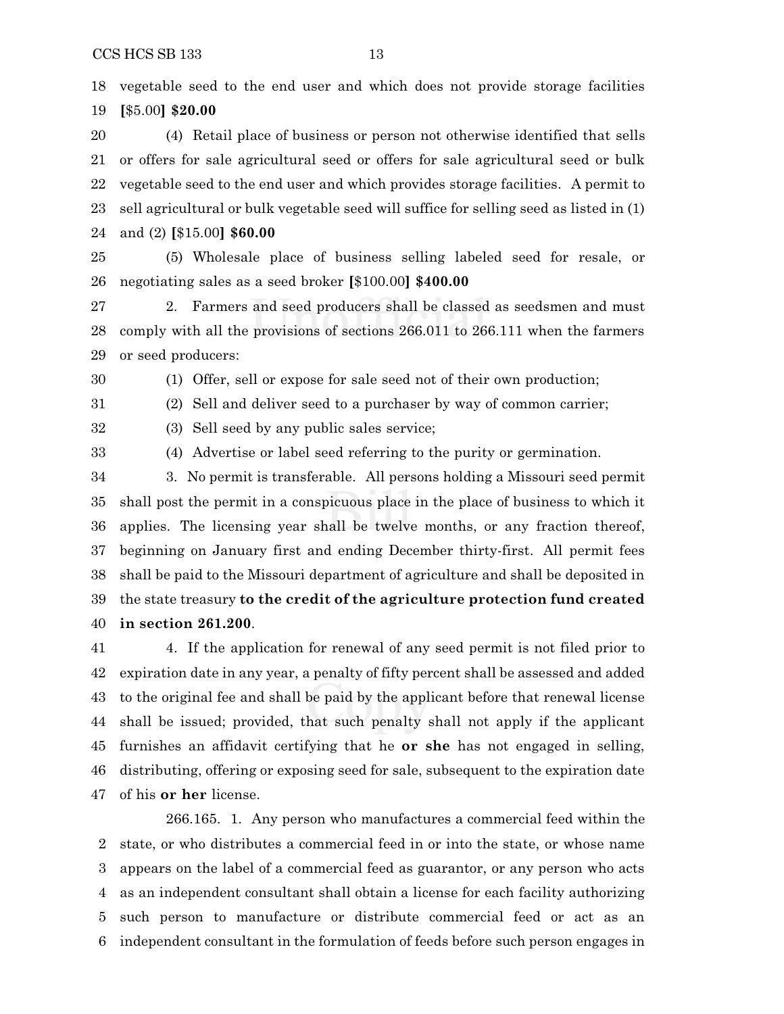vegetable seed to the end user and which does not provide storage facilities **[**\$5.00**] \$20.00**

 (4) Retail place of business or person not otherwise identified that sells or offers for sale agricultural seed or offers for sale agricultural seed or bulk vegetable seed to the end user and which provides storage facilities. A permit to sell agricultural or bulk vegetable seed will suffice for selling seed as listed in (1) and (2) **[**\$15.00**] \$60.00**

 (5) Wholesale place of business selling labeled seed for resale, or negotiating sales as a seed broker **[**\$100.00**] \$400.00**

 2. Farmers and seed producers shall be classed as seedsmen and must comply with all the provisions of sections 266.011 to 266.111 when the farmers or seed producers:

(1) Offer, sell or expose for sale seed not of their own production;

(2) Sell and deliver seed to a purchaser by way of common carrier;

(3) Sell seed by any public sales service;

(4) Advertise or label seed referring to the purity or germination.

 3. No permit is transferable. All persons holding a Missouri seed permit shall post the permit in a conspicuous place in the place of business to which it applies. The licensing year shall be twelve months, or any fraction thereof, beginning on January first and ending December thirty-first. All permit fees shall be paid to the Missouri department of agriculture and shall be deposited in the state treasury **to the credit of the agriculture protection fund created in section 261.200**.

 4. If the application for renewal of any seed permit is not filed prior to expiration date in any year, a penalty of fifty percent shall be assessed and added to the original fee and shall be paid by the applicant before that renewal license shall be issued; provided, that such penalty shall not apply if the applicant furnishes an affidavit certifying that he **or she** has not engaged in selling, distributing, offering or exposing seed for sale, subsequent to the expiration date of his **or her** license.

266.165. 1. Any person who manufactures a commercial feed within the state, or who distributes a commercial feed in or into the state, or whose name appears on the label of a commercial feed as guarantor, or any person who acts as an independent consultant shall obtain a license for each facility authorizing such person to manufacture or distribute commercial feed or act as an independent consultant in the formulation of feeds before such person engages in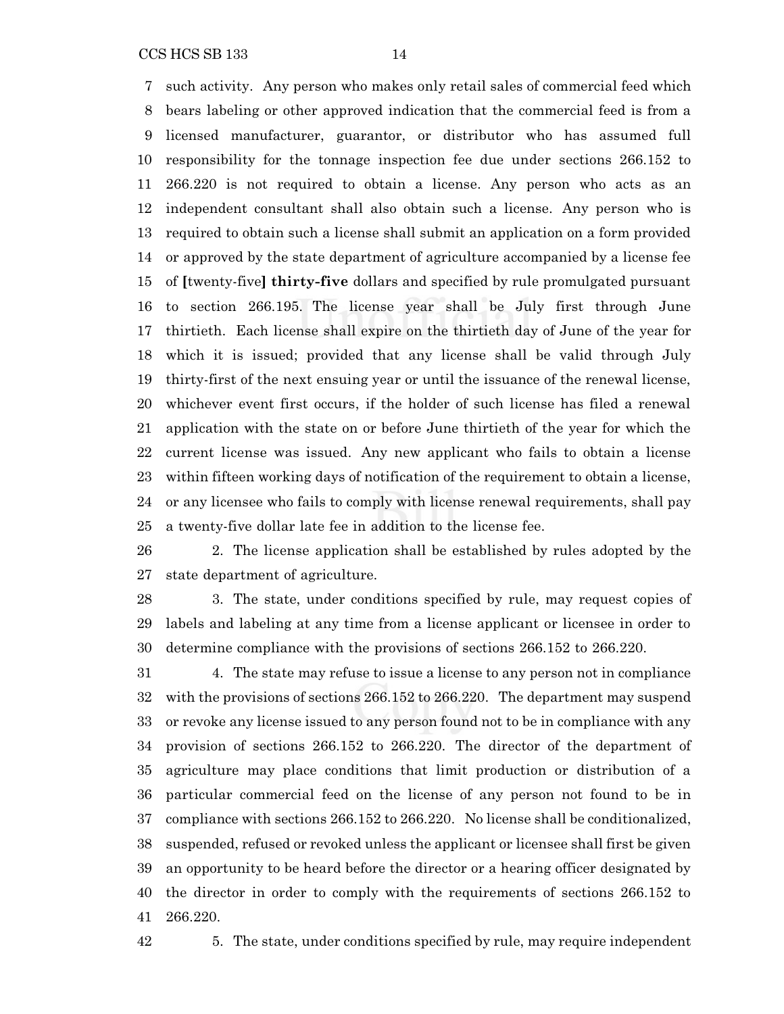CCS HCS SB 133 14

 such activity. Any person who makes only retail sales of commercial feed which bears labeling or other approved indication that the commercial feed is from a licensed manufacturer, guarantor, or distributor who has assumed full responsibility for the tonnage inspection fee due under sections 266.152 to 266.220 is not required to obtain a license. Any person who acts as an independent consultant shall also obtain such a license. Any person who is required to obtain such a license shall submit an application on a form provided or approved by the state department of agriculture accompanied by a license fee of **[**twenty-five**] thirty-five** dollars and specified by rule promulgated pursuant to section 266.195. The license year shall be July first through June thirtieth. Each license shall expire on the thirtieth day of June of the year for which it is issued; provided that any license shall be valid through July thirty-first of the next ensuing year or until the issuance of the renewal license, whichever event first occurs, if the holder of such license has filed a renewal application with the state on or before June thirtieth of the year for which the current license was issued. Any new applicant who fails to obtain a license within fifteen working days of notification of the requirement to obtain a license, or any licensee who fails to comply with license renewal requirements, shall pay a twenty-five dollar late fee in addition to the license fee.

 2. The license application shall be established by rules adopted by the state department of agriculture.

 3. The state, under conditions specified by rule, may request copies of labels and labeling at any time from a license applicant or licensee in order to determine compliance with the provisions of sections 266.152 to 266.220.

 4. The state may refuse to issue a license to any person not in compliance with the provisions of sections 266.152 to 266.220. The department may suspend or revoke any license issued to any person found not to be in compliance with any provision of sections 266.152 to 266.220. The director of the department of agriculture may place conditions that limit production or distribution of a particular commercial feed on the license of any person not found to be in compliance with sections 266.152 to 266.220. No license shall be conditionalized, suspended, refused or revoked unless the applicant or licensee shall first be given an opportunity to be heard before the director or a hearing officer designated by the director in order to comply with the requirements of sections 266.152 to 266.220.

5. The state, under conditions specified by rule, may require independent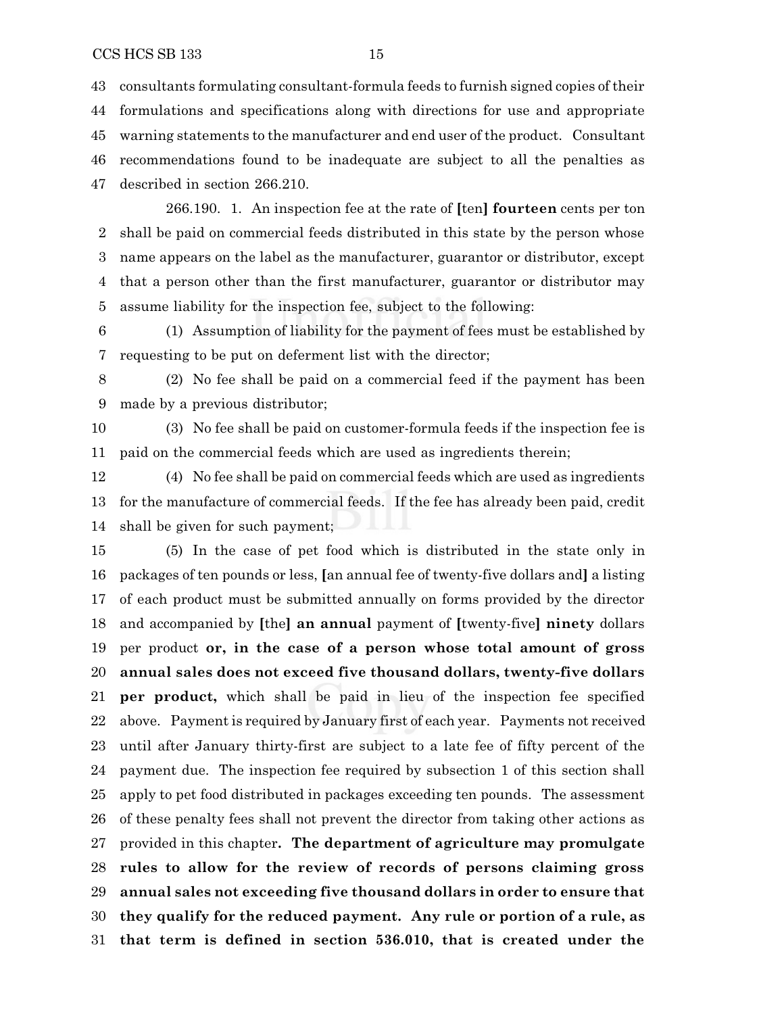consultants formulating consultant-formula feeds to furnish signed copies of their

 formulations and specifications along with directions for use and appropriate warning statements to the manufacturer and end user of the product. Consultant recommendations found to be inadequate are subject to all the penalties as described in section 266.210.

266.190. 1. An inspection fee at the rate of **[**ten**] fourteen** cents per ton shall be paid on commercial feeds distributed in this state by the person whose name appears on the label as the manufacturer, guarantor or distributor, except that a person other than the first manufacturer, guarantor or distributor may assume liability for the inspection fee, subject to the following:

 (1) Assumption of liability for the payment of fees must be established by requesting to be put on deferment list with the director;

 (2) No fee shall be paid on a commercial feed if the payment has been made by a previous distributor;

 (3) No fee shall be paid on customer-formula feeds if the inspection fee is paid on the commercial feeds which are used as ingredients therein;

 (4) No fee shall be paid on commercial feeds which are used as ingredients for the manufacture of commercial feeds. If the fee has already been paid, credit shall be given for such payment;

 (5) In the case of pet food which is distributed in the state only in packages of ten pounds or less, **[**an annual fee of twenty-five dollars and**]** a listing of each product must be submitted annually on forms provided by the director and accompanied by **[**the**] an annual** payment of **[**twenty-five**] ninety** dollars per product **or, in the case of a person whose total amount of gross annual sales does not exceed five thousand dollars, twenty-five dollars per product,** which shall be paid in lieu of the inspection fee specified above. Payment is required by January first of each year. Payments not received until after January thirty-first are subject to a late fee of fifty percent of the payment due. The inspection fee required by subsection 1 of this section shall apply to pet food distributed in packages exceeding ten pounds. The assessment of these penalty fees shall not prevent the director from taking other actions as provided in this chapter**. The department of agriculture may promulgate rules to allow for the review of records of persons claiming gross annual sales not exceeding five thousand dollars in order to ensure that they qualify for the reduced payment. Any rule or portion of a rule, as that term is defined in section 536.010, that is created under the**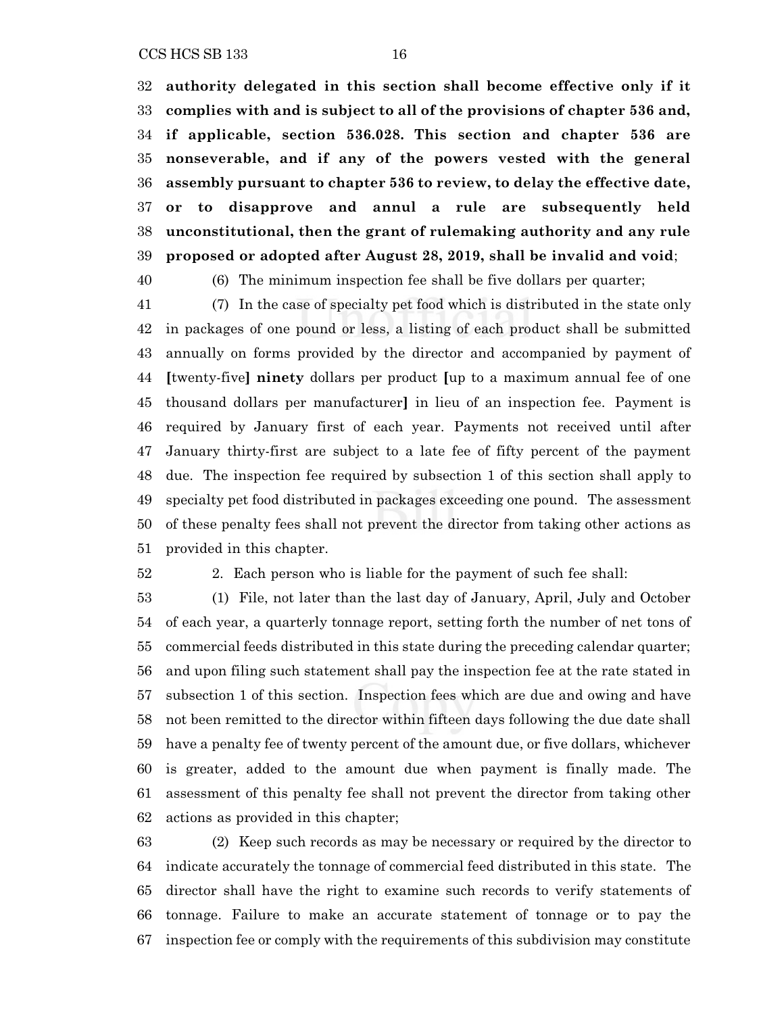**authority delegated in this section shall become effective only if it complies with and is subject to all of the provisions of chapter 536 and, if applicable, section 536.028. This section and chapter 536 are nonseverable, and if any of the powers vested with the general assembly pursuant to chapter 536 to review, to delay the effective date, or to disapprove and annul a rule are subsequently held unconstitutional, then the grant of rulemaking authority and any rule proposed or adopted after August 28, 2019, shall be invalid and void**;

(6) The minimum inspection fee shall be five dollars per quarter;

 (7) In the case of specialty pet food which is distributed in the state only in packages of one pound or less, a listing of each product shall be submitted annually on forms provided by the director and accompanied by payment of **[**twenty-five**] ninety** dollars per product **[**up to a maximum annual fee of one thousand dollars per manufacturer**]** in lieu of an inspection fee. Payment is required by January first of each year. Payments not received until after January thirty-first are subject to a late fee of fifty percent of the payment due. The inspection fee required by subsection 1 of this section shall apply to specialty pet food distributed in packages exceeding one pound. The assessment of these penalty fees shall not prevent the director from taking other actions as provided in this chapter.

2. Each person who is liable for the payment of such fee shall:

 (1) File, not later than the last day of January, April, July and October of each year, a quarterly tonnage report, setting forth the number of net tons of commercial feeds distributed in this state during the preceding calendar quarter; and upon filing such statement shall pay the inspection fee at the rate stated in subsection 1 of this section. Inspection fees which are due and owing and have not been remitted to the director within fifteen days following the due date shall have a penalty fee of twenty percent of the amount due, or five dollars, whichever is greater, added to the amount due when payment is finally made. The assessment of this penalty fee shall not prevent the director from taking other actions as provided in this chapter;

 (2) Keep such records as may be necessary or required by the director to indicate accurately the tonnage of commercial feed distributed in this state. The director shall have the right to examine such records to verify statements of tonnage. Failure to make an accurate statement of tonnage or to pay the inspection fee or comply with the requirements of this subdivision may constitute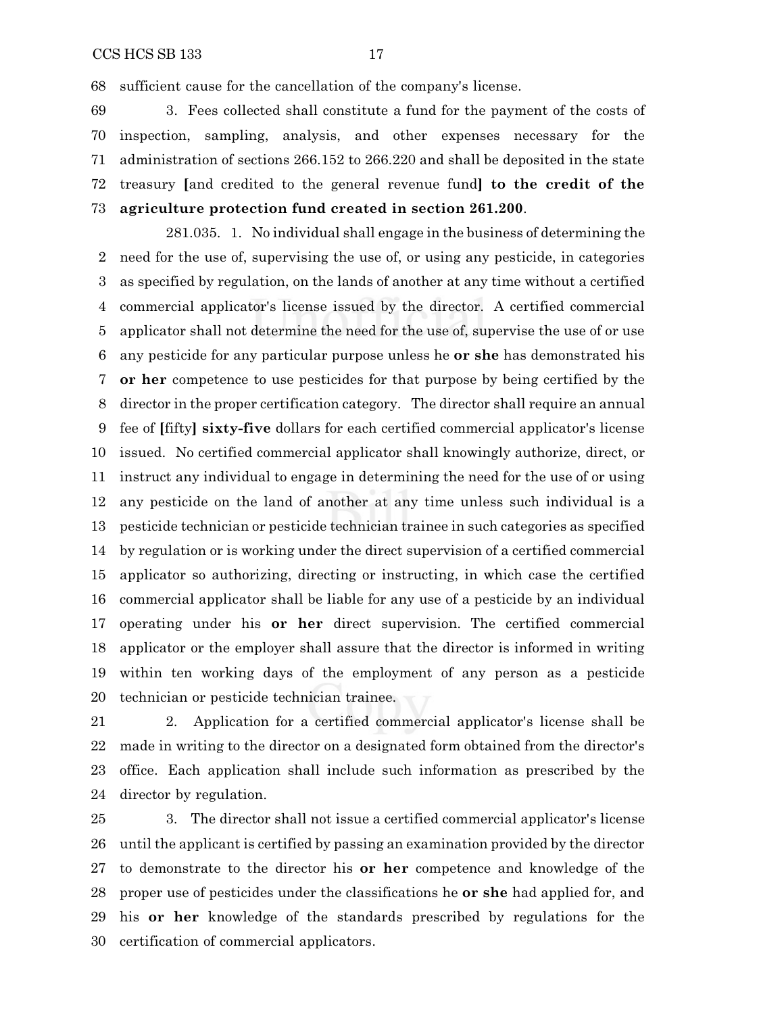sufficient cause for the cancellation of the company's license.

 3. Fees collected shall constitute a fund for the payment of the costs of inspection, sampling, analysis, and other expenses necessary for the administration of sections 266.152 to 266.220 and shall be deposited in the state treasury **[**and credited to the general revenue fund**] to the credit of the agriculture protection fund created in section 261.200**.

281.035. 1. No individual shall engage in the business of determining the need for the use of, supervising the use of, or using any pesticide, in categories as specified by regulation, on the lands of another at any time without a certified commercial applicator's license issued by the director. A certified commercial applicator shall not determine the need for the use of, supervise the use of or use any pesticide for any particular purpose unless he **or she** has demonstrated his **or her** competence to use pesticides for that purpose by being certified by the director in the proper certification category. The director shall require an annual fee of **[**fifty**] sixty-five** dollars for each certified commercial applicator's license issued. No certified commercial applicator shall knowingly authorize, direct, or instruct any individual to engage in determining the need for the use of or using any pesticide on the land of another at any time unless such individual is a pesticide technician or pesticide technician trainee in such categories as specified by regulation or is working under the direct supervision of a certified commercial applicator so authorizing, directing or instructing, in which case the certified commercial applicator shall be liable for any use of a pesticide by an individual operating under his **or her** direct supervision. The certified commercial applicator or the employer shall assure that the director is informed in writing within ten working days of the employment of any person as a pesticide technician or pesticide technician trainee.

 2. Application for a certified commercial applicator's license shall be made in writing to the director on a designated form obtained from the director's office. Each application shall include such information as prescribed by the director by regulation.

 3. The director shall not issue a certified commercial applicator's license until the applicant is certified by passing an examination provided by the director to demonstrate to the director his **or her** competence and knowledge of the proper use of pesticides under the classifications he **or she** had applied for, and his **or her** knowledge of the standards prescribed by regulations for the certification of commercial applicators.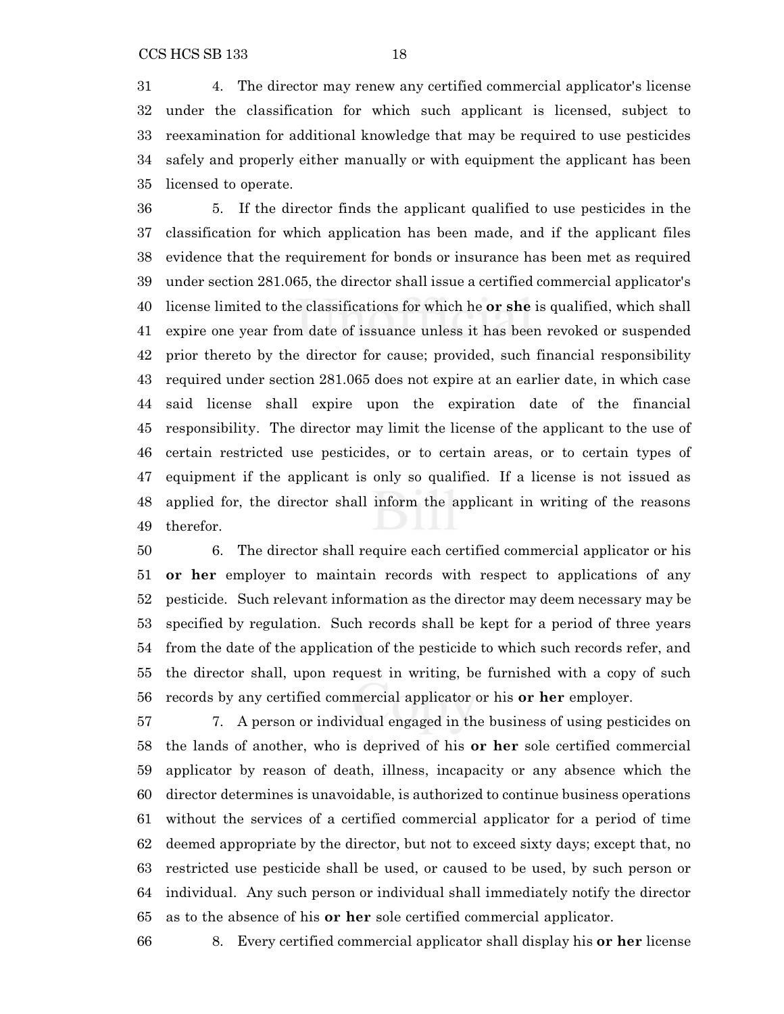4. The director may renew any certified commercial applicator's license under the classification for which such applicant is licensed, subject to reexamination for additional knowledge that may be required to use pesticides safely and properly either manually or with equipment the applicant has been licensed to operate.

 5. If the director finds the applicant qualified to use pesticides in the classification for which application has been made, and if the applicant files evidence that the requirement for bonds or insurance has been met as required under section 281.065, the director shall issue a certified commercial applicator's license limited to the classifications for which he **or she** is qualified, which shall expire one year from date of issuance unless it has been revoked or suspended prior thereto by the director for cause; provided, such financial responsibility required under section 281.065 does not expire at an earlier date, in which case said license shall expire upon the expiration date of the financial responsibility. The director may limit the license of the applicant to the use of certain restricted use pesticides, or to certain areas, or to certain types of equipment if the applicant is only so qualified. If a license is not issued as applied for, the director shall inform the applicant in writing of the reasons therefor.

 6. The director shall require each certified commercial applicator or his **or her** employer to maintain records with respect to applications of any pesticide. Such relevant information as the director may deem necessary may be specified by regulation. Such records shall be kept for a period of three years from the date of the application of the pesticide to which such records refer, and the director shall, upon request in writing, be furnished with a copy of such records by any certified commercial applicator or his **or her** employer.

 7. A person or individual engaged in the business of using pesticides on the lands of another, who is deprived of his **or her** sole certified commercial applicator by reason of death, illness, incapacity or any absence which the director determines is unavoidable, is authorized to continue business operations without the services of a certified commercial applicator for a period of time deemed appropriate by the director, but not to exceed sixty days; except that, no restricted use pesticide shall be used, or caused to be used, by such person or individual. Any such person or individual shall immediately notify the director as to the absence of his **or her** sole certified commercial applicator.

8. Every certified commercial applicator shall display his **or her** license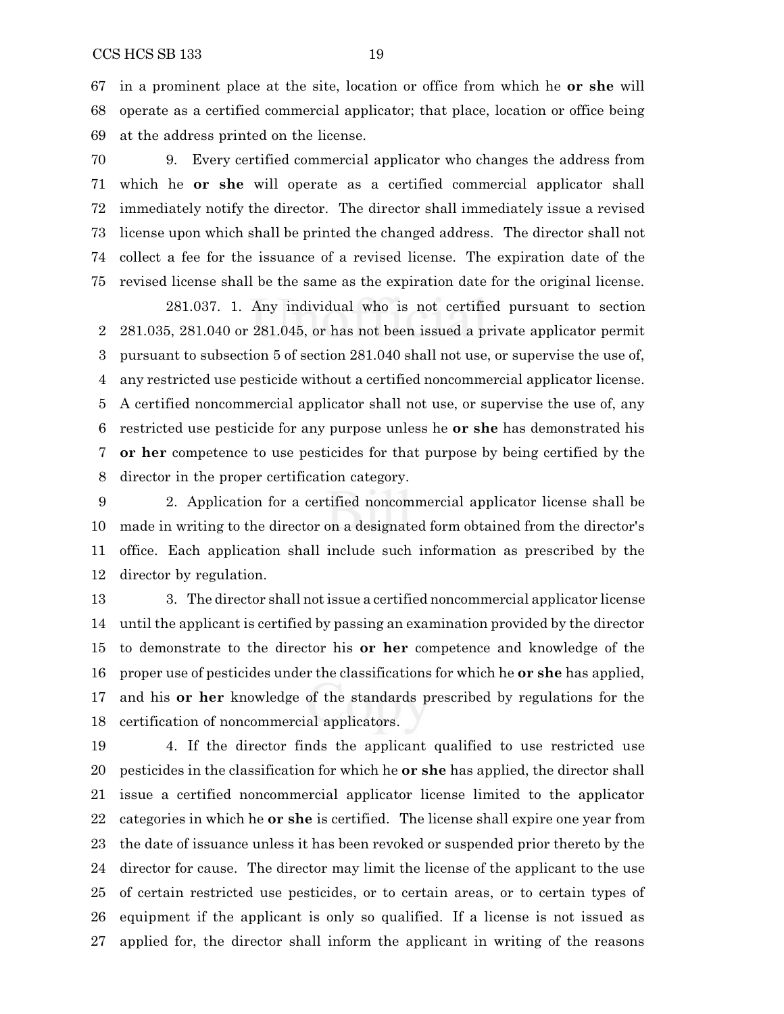in a prominent place at the site, location or office from which he **or she** will operate as a certified commercial applicator; that place, location or office being at the address printed on the license.

 9. Every certified commercial applicator who changes the address from which he **or she** will operate as a certified commercial applicator shall immediately notify the director. The director shall immediately issue a revised license upon which shall be printed the changed address. The director shall not collect a fee for the issuance of a revised license. The expiration date of the revised license shall be the same as the expiration date for the original license.

281.037. 1. Any individual who is not certified pursuant to section 281.035, 281.040 or 281.045, or has not been issued a private applicator permit pursuant to subsection 5 of section 281.040 shall not use, or supervise the use of, any restricted use pesticide without a certified noncommercial applicator license. A certified noncommercial applicator shall not use, or supervise the use of, any restricted use pesticide for any purpose unless he **or she** has demonstrated his **or her** competence to use pesticides for that purpose by being certified by the director in the proper certification category.

 2. Application for a certified noncommercial applicator license shall be made in writing to the director on a designated form obtained from the director's office. Each application shall include such information as prescribed by the director by regulation.

 3. The director shall not issue a certified noncommercial applicator license until the applicant is certified by passing an examination provided by the director to demonstrate to the director his **or her** competence and knowledge of the proper use of pesticides under the classifications for which he **or she** has applied, and his **or her** knowledge of the standards prescribed by regulations for the certification of noncommercial applicators.

 4. If the director finds the applicant qualified to use restricted use pesticides in the classification for which he **or she** has applied, the director shall issue a certified noncommercial applicator license limited to the applicator categories in which he **or she** is certified. The license shall expire one year from the date of issuance unless it has been revoked or suspended prior thereto by the director for cause. The director may limit the license of the applicant to the use of certain restricted use pesticides, or to certain areas, or to certain types of equipment if the applicant is only so qualified. If a license is not issued as applied for, the director shall inform the applicant in writing of the reasons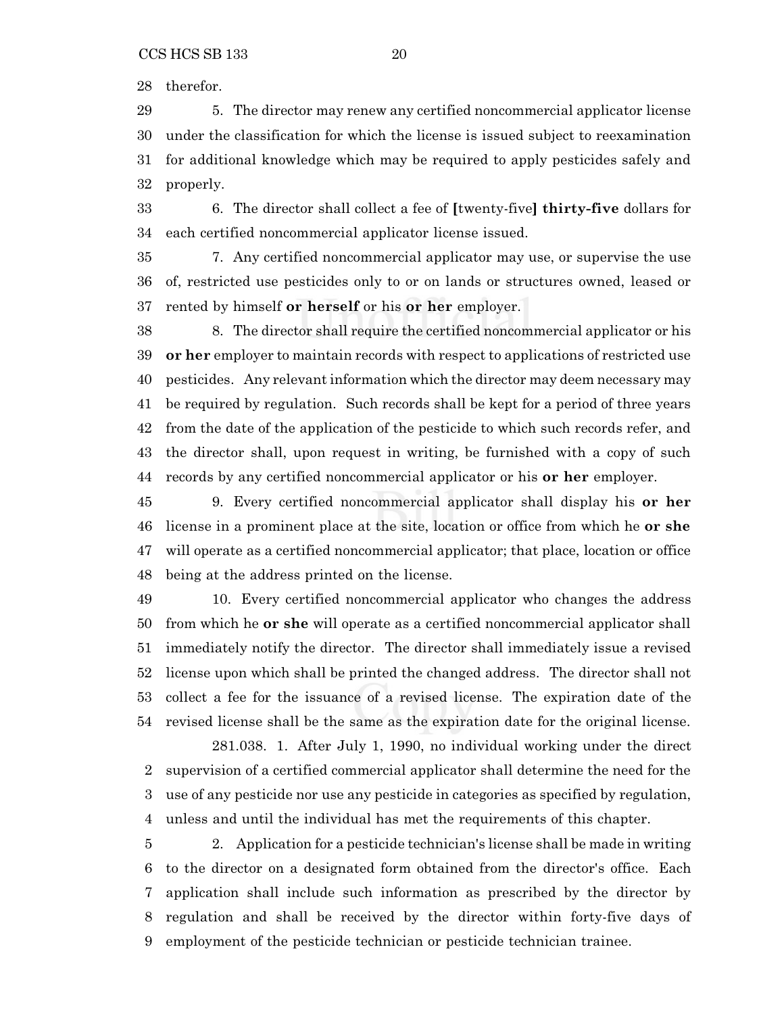therefor.

 5. The director may renew any certified noncommercial applicator license under the classification for which the license is issued subject to reexamination for additional knowledge which may be required to apply pesticides safely and properly.

 6. The director shall collect a fee of **[**twenty-five**] thirty-five** dollars for each certified noncommercial applicator license issued.

 7. Any certified noncommercial applicator may use, or supervise the use of, restricted use pesticides only to or on lands or structures owned, leased or rented by himself **or herself** or his **or her** employer.

 8. The director shall require the certified noncommercial applicator or his **or her** employer to maintain records with respect to applications of restricted use pesticides. Any relevant information which the director may deem necessary may be required by regulation. Such records shall be kept for a period of three years from the date of the application of the pesticide to which such records refer, and the director shall, upon request in writing, be furnished with a copy of such records by any certified noncommercial applicator or his **or her** employer.

 9. Every certified noncommercial applicator shall display his **or her** license in a prominent place at the site, location or office from which he **or she** will operate as a certified noncommercial applicator; that place, location or office being at the address printed on the license.

 10. Every certified noncommercial applicator who changes the address from which he **or she** will operate as a certified noncommercial applicator shall immediately notify the director. The director shall immediately issue a revised license upon which shall be printed the changed address. The director shall not collect a fee for the issuance of a revised license. The expiration date of the revised license shall be the same as the expiration date for the original license.

281.038. 1. After July 1, 1990, no individual working under the direct supervision of a certified commercial applicator shall determine the need for the use of any pesticide nor use any pesticide in categories as specified by regulation, unless and until the individual has met the requirements of this chapter.

 2. Application for a pesticide technician's license shall be made in writing to the director on a designated form obtained from the director's office. Each application shall include such information as prescribed by the director by regulation and shall be received by the director within forty-five days of employment of the pesticide technician or pesticide technician trainee.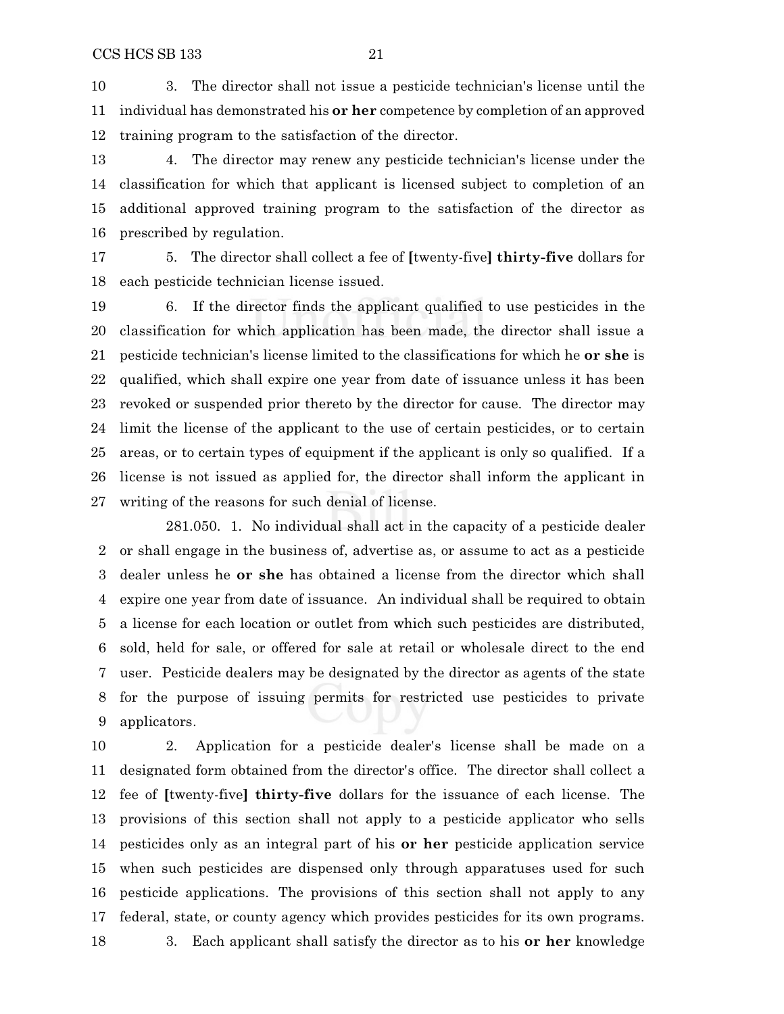3. The director shall not issue a pesticide technician's license until the individual has demonstrated his **or her** competence by completion of an approved training program to the satisfaction of the director.

 4. The director may renew any pesticide technician's license under the classification for which that applicant is licensed subject to completion of an additional approved training program to the satisfaction of the director as prescribed by regulation.

 5. The director shall collect a fee of **[**twenty-five**] thirty-five** dollars for each pesticide technician license issued.

 6. If the director finds the applicant qualified to use pesticides in the classification for which application has been made, the director shall issue a pesticide technician's license limited to the classifications for which he **or she** is qualified, which shall expire one year from date of issuance unless it has been revoked or suspended prior thereto by the director for cause. The director may limit the license of the applicant to the use of certain pesticides, or to certain areas, or to certain types of equipment if the applicant is only so qualified. If a license is not issued as applied for, the director shall inform the applicant in writing of the reasons for such denial of license.

281.050. 1. No individual shall act in the capacity of a pesticide dealer or shall engage in the business of, advertise as, or assume to act as a pesticide dealer unless he **or she** has obtained a license from the director which shall expire one year from date of issuance. An individual shall be required to obtain a license for each location or outlet from which such pesticides are distributed, sold, held for sale, or offered for sale at retail or wholesale direct to the end user. Pesticide dealers may be designated by the director as agents of the state for the purpose of issuing permits for restricted use pesticides to private applicators.

 2. Application for a pesticide dealer's license shall be made on a designated form obtained from the director's office. The director shall collect a fee of **[**twenty-five**] thirty-five** dollars for the issuance of each license. The provisions of this section shall not apply to a pesticide applicator who sells pesticides only as an integral part of his **or her** pesticide application service when such pesticides are dispensed only through apparatuses used for such pesticide applications. The provisions of this section shall not apply to any federal, state, or county agency which provides pesticides for its own programs. 3. Each applicant shall satisfy the director as to his **or her** knowledge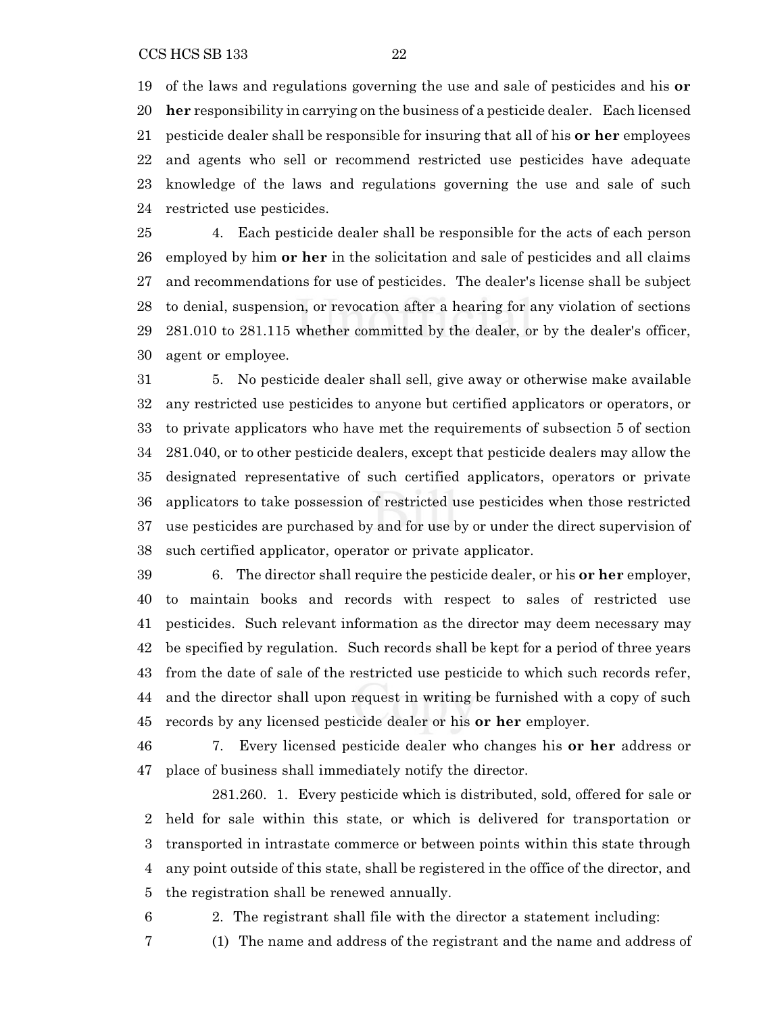of the laws and regulations governing the use and sale of pesticides and his **or her** responsibility in carrying on the business of a pesticide dealer. Each licensed pesticide dealer shall be responsible for insuring that all of his **or her** employees and agents who sell or recommend restricted use pesticides have adequate knowledge of the laws and regulations governing the use and sale of such restricted use pesticides.

 4. Each pesticide dealer shall be responsible for the acts of each person employed by him **or her** in the solicitation and sale of pesticides and all claims and recommendations for use of pesticides. The dealer's license shall be subject to denial, suspension, or revocation after a hearing for any violation of sections 281.010 to 281.115 whether committed by the dealer, or by the dealer's officer, agent or employee.

 5. No pesticide dealer shall sell, give away or otherwise make available any restricted use pesticides to anyone but certified applicators or operators, or to private applicators who have met the requirements of subsection 5 of section 281.040, or to other pesticide dealers, except that pesticide dealers may allow the designated representative of such certified applicators, operators or private applicators to take possession of restricted use pesticides when those restricted use pesticides are purchased by and for use by or under the direct supervision of such certified applicator, operator or private applicator.

 6. The director shall require the pesticide dealer, or his **or her** employer, to maintain books and records with respect to sales of restricted use pesticides. Such relevant information as the director may deem necessary may be specified by regulation. Such records shall be kept for a period of three years from the date of sale of the restricted use pesticide to which such records refer, and the director shall upon request in writing be furnished with a copy of such records by any licensed pesticide dealer or his **or her** employer.

 7. Every licensed pesticide dealer who changes his **or her** address or place of business shall immediately notify the director.

281.260. 1. Every pesticide which is distributed, sold, offered for sale or held for sale within this state, or which is delivered for transportation or transported in intrastate commerce or between points within this state through any point outside of this state, shall be registered in the office of the director, and the registration shall be renewed annually.

2. The registrant shall file with the director a statement including:

(1) The name and address of the registrant and the name and address of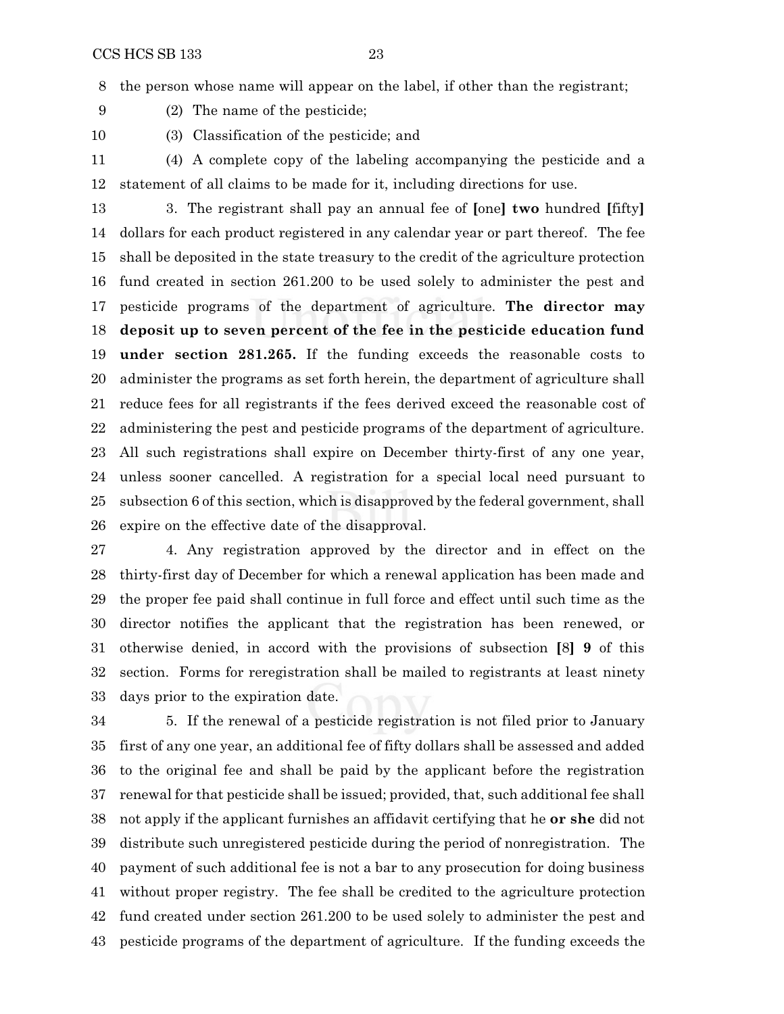the person whose name will appear on the label, if other than the registrant;

(2) The name of the pesticide;

(3) Classification of the pesticide; and

 (4) A complete copy of the labeling accompanying the pesticide and a statement of all claims to be made for it, including directions for use.

 3. The registrant shall pay an annual fee of **[**one**] two** hundred **[**fifty**]** dollars for each product registered in any calendar year or part thereof. The fee shall be deposited in the state treasury to the credit of the agriculture protection fund created in section 261.200 to be used solely to administer the pest and pesticide programs of the department of agriculture. **The director may deposit up to seven percent of the fee in the pesticide education fund under section 281.265.** If the funding exceeds the reasonable costs to administer the programs as set forth herein, the department of agriculture shall reduce fees for all registrants if the fees derived exceed the reasonable cost of administering the pest and pesticide programs of the department of agriculture. All such registrations shall expire on December thirty-first of any one year, unless sooner cancelled. A registration for a special local need pursuant to subsection 6 of this section, which is disapproved by the federal government, shall expire on the effective date of the disapproval.

 4. Any registration approved by the director and in effect on the thirty-first day of December for which a renewal application has been made and the proper fee paid shall continue in full force and effect until such time as the director notifies the applicant that the registration has been renewed, or otherwise denied, in accord with the provisions of subsection **[**8**] 9** of this section. Forms for reregistration shall be mailed to registrants at least ninety days prior to the expiration date.

 5. If the renewal of a pesticide registration is not filed prior to January first of any one year, an additional fee of fifty dollars shall be assessed and added to the original fee and shall be paid by the applicant before the registration renewal for that pesticide shall be issued; provided, that, such additional fee shall not apply if the applicant furnishes an affidavit certifying that he **or she** did not distribute such unregistered pesticide during the period of nonregistration. The payment of such additional fee is not a bar to any prosecution for doing business without proper registry. The fee shall be credited to the agriculture protection fund created under section 261.200 to be used solely to administer the pest and pesticide programs of the department of agriculture. If the funding exceeds the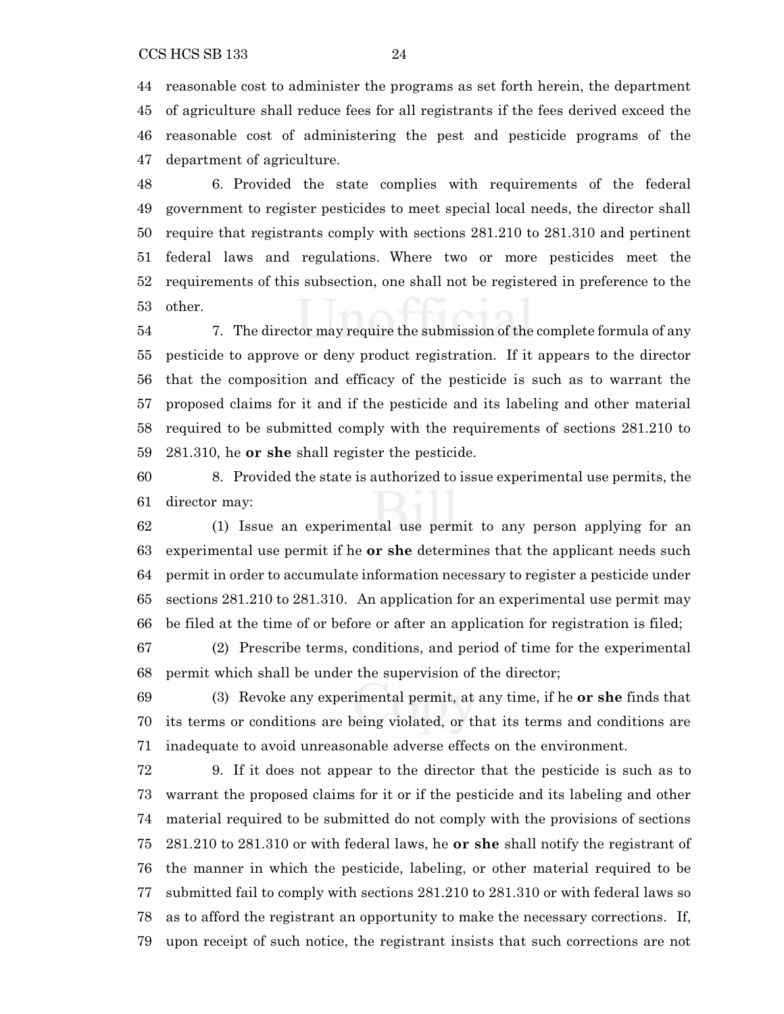reasonable cost to administer the programs as set forth herein, the department of agriculture shall reduce fees for all registrants if the fees derived exceed the reasonable cost of administering the pest and pesticide programs of the department of agriculture.

 6. Provided the state complies with requirements of the federal government to register pesticides to meet special local needs, the director shall require that registrants comply with sections 281.210 to 281.310 and pertinent federal laws and regulations. Where two or more pesticides meet the requirements of this subsection, one shall not be registered in preference to the other.

 7. The director may require the submission of the complete formula of any pesticide to approve or deny product registration. If it appears to the director that the composition and efficacy of the pesticide is such as to warrant the proposed claims for it and if the pesticide and its labeling and other material required to be submitted comply with the requirements of sections 281.210 to 281.310, he **or she** shall register the pesticide.

 8. Provided the state is authorized to issue experimental use permits, the director may:

 (1) Issue an experimental use permit to any person applying for an experimental use permit if he **or she** determines that the applicant needs such permit in order to accumulate information necessary to register a pesticide under sections 281.210 to 281.310. An application for an experimental use permit may be filed at the time of or before or after an application for registration is filed;

 (2) Prescribe terms, conditions, and period of time for the experimental permit which shall be under the supervision of the director;

 (3) Revoke any experimental permit, at any time, if he **or she** finds that its terms or conditions are being violated, or that its terms and conditions are inadequate to avoid unreasonable adverse effects on the environment.

 9. If it does not appear to the director that the pesticide is such as to warrant the proposed claims for it or if the pesticide and its labeling and other material required to be submitted do not comply with the provisions of sections 281.210 to 281.310 or with federal laws, he **or she** shall notify the registrant of the manner in which the pesticide, labeling, or other material required to be submitted fail to comply with sections 281.210 to 281.310 or with federal laws so as to afford the registrant an opportunity to make the necessary corrections. If, upon receipt of such notice, the registrant insists that such corrections are not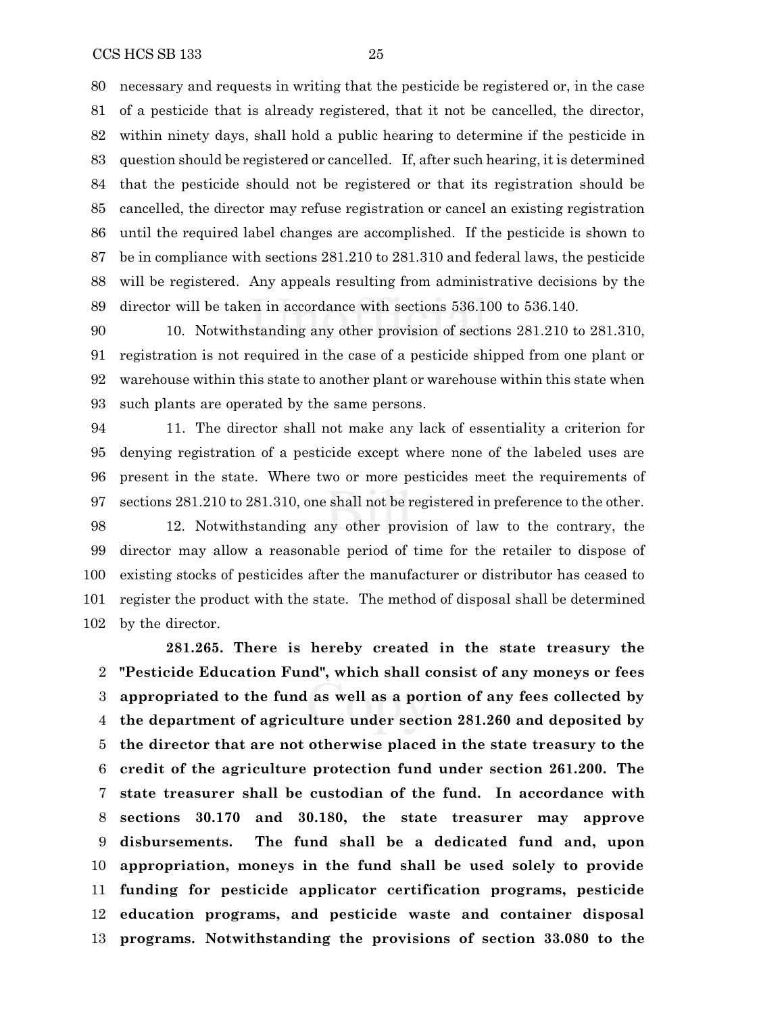necessary and requests in writing that the pesticide be registered or, in the case of a pesticide that is already registered, that it not be cancelled, the director, within ninety days, shall hold a public hearing to determine if the pesticide in question should be registered or cancelled. If, after such hearing, it is determined that the pesticide should not be registered or that its registration should be cancelled, the director may refuse registration or cancel an existing registration until the required label changes are accomplished. If the pesticide is shown to be in compliance with sections 281.210 to 281.310 and federal laws, the pesticide will be registered. Any appeals resulting from administrative decisions by the director will be taken in accordance with sections 536.100 to 536.140.

 10. Notwithstanding any other provision of sections 281.210 to 281.310, registration is not required in the case of a pesticide shipped from one plant or warehouse within this state to another plant or warehouse within this state when such plants are operated by the same persons.

 11. The director shall not make any lack of essentiality a criterion for denying registration of a pesticide except where none of the labeled uses are present in the state. Where two or more pesticides meet the requirements of sections 281.210 to 281.310, one shall not be registered in preference to the other.

 12. Notwithstanding any other provision of law to the contrary, the director may allow a reasonable period of time for the retailer to dispose of existing stocks of pesticides after the manufacturer or distributor has ceased to register the product with the state. The method of disposal shall be determined by the director.

**281.265. There is hereby created in the state treasury the "Pesticide Education Fund", which shall consist of any moneys or fees appropriated to the fund as well as a portion of any fees collected by the department of agriculture under section 281.260 and deposited by the director that are not otherwise placed in the state treasury to the credit of the agriculture protection fund under section 261.200. The state treasurer shall be custodian of the fund. In accordance with sections 30.170 and 30.180, the state treasurer may approve disbursements. The fund shall be a dedicated fund and, upon appropriation, moneys in the fund shall be used solely to provide funding for pesticide applicator certification programs, pesticide education programs, and pesticide waste and container disposal programs. Notwithstanding the provisions of section 33.080 to the**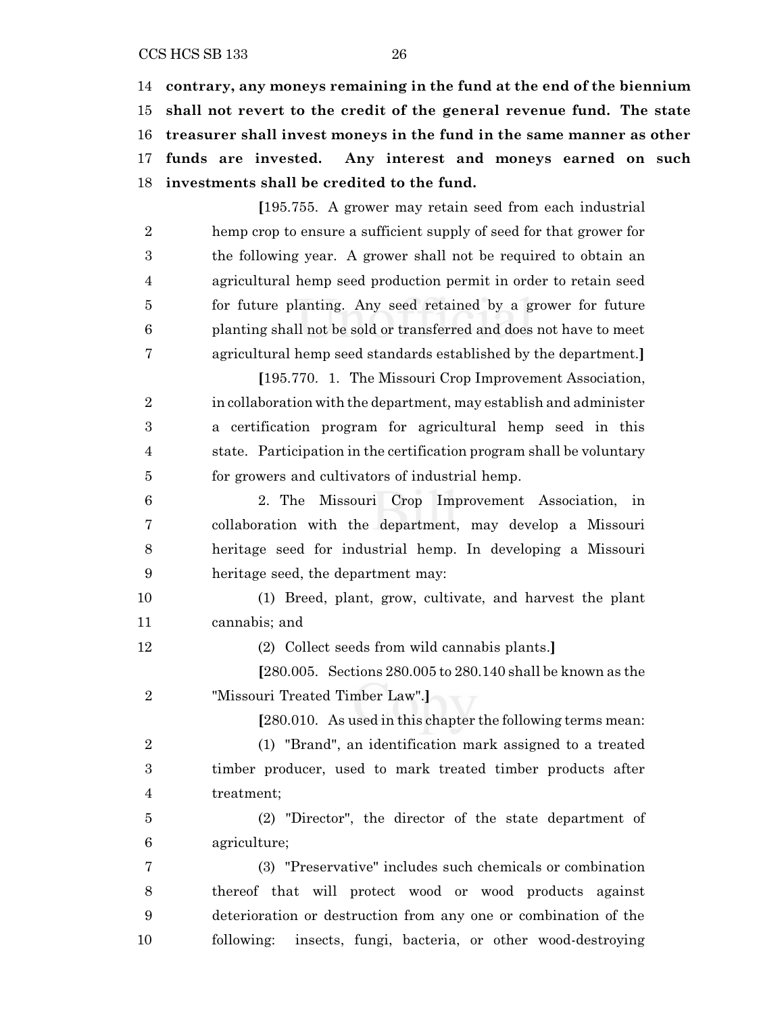#### CCS HCS SB 133 26

 **contrary, any moneys remaining in the fund at the end of the biennium shall not revert to the credit of the general revenue fund. The state treasurer shall invest moneys in the fund in the same manner as other funds are invested. Any interest and moneys earned on such investments shall be credited to the fund.**

**[**195.755. A grower may retain seed from each industrial hemp crop to ensure a sufficient supply of seed for that grower for the following year. A grower shall not be required to obtain an agricultural hemp seed production permit in order to retain seed for future planting. Any seed retained by a grower for future planting shall not be sold or transferred and does not have to meet agricultural hemp seed standards established by the department.**]**

**[**195.770. 1. The Missouri Crop Improvement Association, 2 in collaboration with the department, may establish and administer a certification program for agricultural hemp seed in this state. Participation in the certification program shall be voluntary for growers and cultivators of industrial hemp.

 2. The Missouri Crop Improvement Association, in collaboration with the department, may develop a Missouri heritage seed for industrial hemp. In developing a Missouri heritage seed, the department may:

 (1) Breed, plant, grow, cultivate, and harvest the plant cannabis; and

(2) Collect seeds from wild cannabis plants.**]**

**[**280.005. Sections 280.005 to 280.140 shall be known as the "Missouri Treated Timber Law".**]**

**[**280.010. As used in this chapter the following terms mean:

 (1) "Brand", an identification mark assigned to a treated timber producer, used to mark treated timber products after treatment;

 (2) "Director", the director of the state department of agriculture;

 (3) "Preservative" includes such chemicals or combination thereof that will protect wood or wood products against deterioration or destruction from any one or combination of the following: insects, fungi, bacteria, or other wood-destroying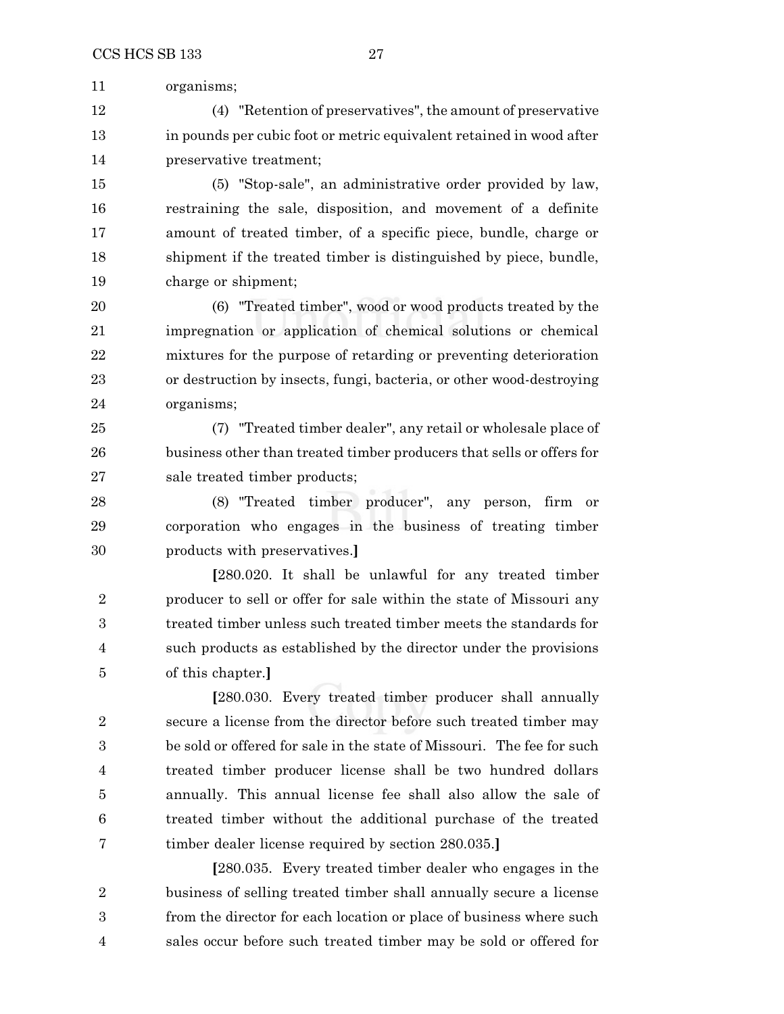organisms;

 (4) "Retention of preservatives", the amount of preservative in pounds per cubic foot or metric equivalent retained in wood after preservative treatment;

 (5) "Stop-sale", an administrative order provided by law, restraining the sale, disposition, and movement of a definite amount of treated timber, of a specific piece, bundle, charge or shipment if the treated timber is distinguished by piece, bundle, charge or shipment;

 (6) "Treated timber", wood or wood products treated by the impregnation or application of chemical solutions or chemical mixtures for the purpose of retarding or preventing deterioration or destruction by insects, fungi, bacteria, or other wood-destroying organisms;

 (7) "Treated timber dealer", any retail or wholesale place of business other than treated timber producers that sells or offers for sale treated timber products;

 (8) "Treated timber producer", any person, firm or corporation who engages in the business of treating timber products with preservatives.**]**

**[**280.020. It shall be unlawful for any treated timber producer to sell or offer for sale within the state of Missouri any treated timber unless such treated timber meets the standards for such products as established by the director under the provisions of this chapter.**]**

**[**280.030. Every treated timber producer shall annually secure a license from the director before such treated timber may be sold or offered for sale in the state of Missouri. The fee for such treated timber producer license shall be two hundred dollars annually. This annual license fee shall also allow the sale of treated timber without the additional purchase of the treated timber dealer license required by section 280.035.**]**

**[**280.035. Every treated timber dealer who engages in the business of selling treated timber shall annually secure a license from the director for each location or place of business where such sales occur before such treated timber may be sold or offered for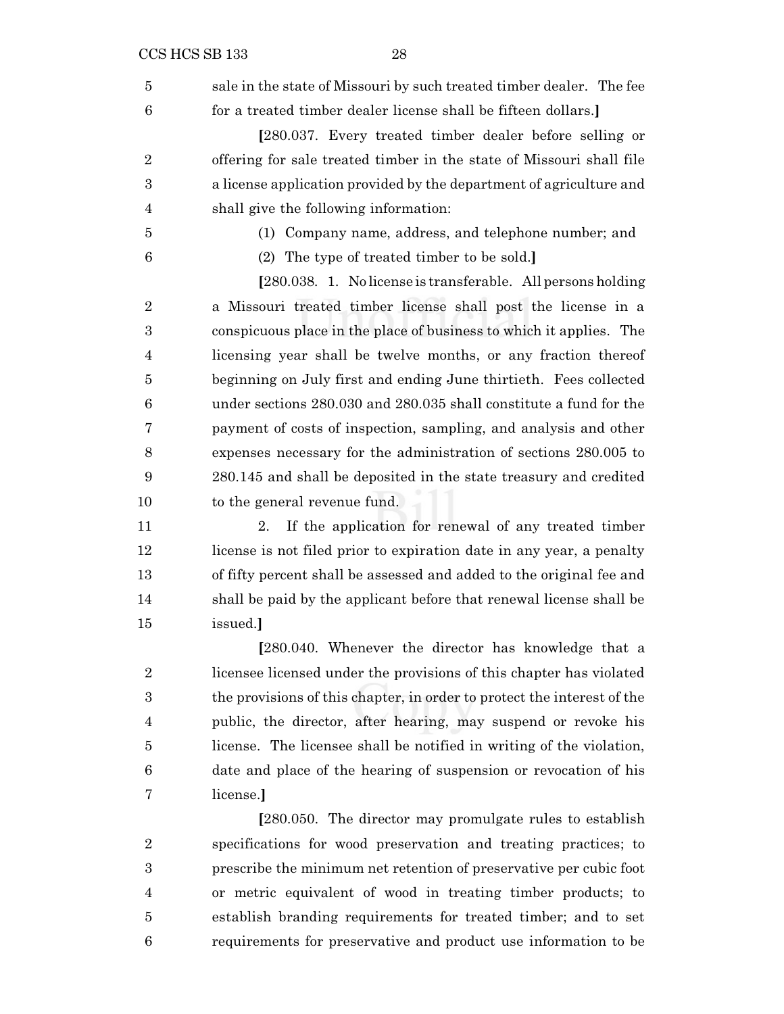sale in the state of Missouri by such treated timber dealer. The fee for a treated timber dealer license shall be fifteen dollars.**]**

**[**280.037. Every treated timber dealer before selling or offering for sale treated timber in the state of Missouri shall file a license application provided by the department of agriculture and shall give the following information:

- 
- (1) Company name, address, and telephone number; and
- 
- (2) The type of treated timber to be sold.**]**

**[**280.038. 1. No license is transferable. All persons holding a Missouri treated timber license shall post the license in a conspicuous place in the place of business to which it applies. The licensing year shall be twelve months, or any fraction thereof beginning on July first and ending June thirtieth. Fees collected under sections 280.030 and 280.035 shall constitute a fund for the payment of costs of inspection, sampling, and analysis and other expenses necessary for the administration of sections 280.005 to 280.145 and shall be deposited in the state treasury and credited to the general revenue fund.

 2. If the application for renewal of any treated timber license is not filed prior to expiration date in any year, a penalty of fifty percent shall be assessed and added to the original fee and shall be paid by the applicant before that renewal license shall be issued.**]**

**[**280.040. Whenever the director has knowledge that a licensee licensed under the provisions of this chapter has violated the provisions of this chapter, in order to protect the interest of the public, the director, after hearing, may suspend or revoke his license. The licensee shall be notified in writing of the violation, date and place of the hearing of suspension or revocation of his license.**]**

**[**280.050. The director may promulgate rules to establish specifications for wood preservation and treating practices; to prescribe the minimum net retention of preservative per cubic foot or metric equivalent of wood in treating timber products; to establish branding requirements for treated timber; and to set requirements for preservative and product use information to be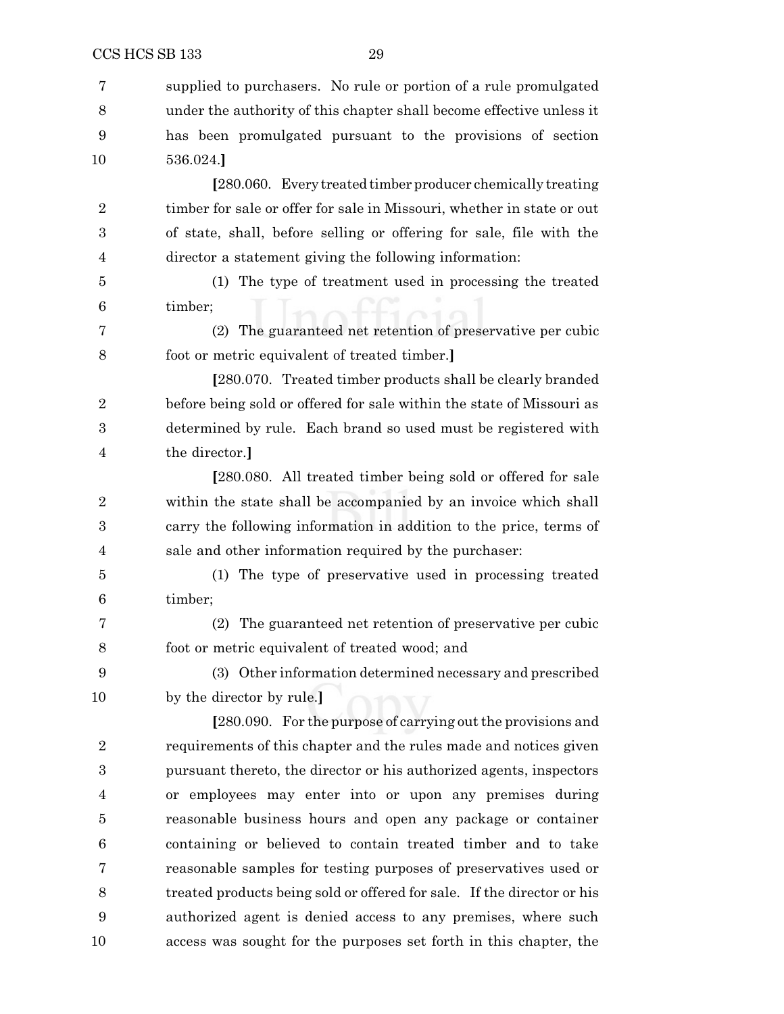| 7                | supplied to purchasers. No rule or portion of a rule promulgated        |
|------------------|-------------------------------------------------------------------------|
| 8                | under the authority of this chapter shall become effective unless it    |
| 9                | has been promulgated pursuant to the provisions of section              |
| 10               | 536.024.                                                                |
|                  | [280.060. Every treated timber producer chemically treating             |
| $\boldsymbol{2}$ | timber for sale or offer for sale in Missouri, whether in state or out  |
| 3                | of state, shall, before selling or offering for sale, file with the     |
| 4                | director a statement giving the following information:                  |
| 5                | (1) The type of treatment used in processing the treated                |
| 6                | timber;                                                                 |
| 7                | The guaranteed net retention of preservative per cubic<br>(2)           |
| 8                | foot or metric equivalent of treated timber.]                           |
|                  | [280.070. Treated timber products shall be clearly branded              |
| $\boldsymbol{2}$ | before being sold or offered for sale within the state of Missouri as   |
| 3                | determined by rule. Each brand so used must be registered with          |
| 4                | the director.]                                                          |
|                  | [280.080. All treated timber being sold or offered for sale             |
| $\overline{2}$   | within the state shall be accompanied by an invoice which shall         |
| 3                | carry the following information in addition to the price, terms of      |
| 4                | sale and other information required by the purchaser:                   |
| 5                | (1) The type of preservative used in processing treated                 |
| 6                | timber;                                                                 |
| 7                | The guaranteed net retention of preservative per cubic<br>(2)           |
| 8                | foot or metric equivalent of treated wood; and                          |
| 9                | (3) Other information determined necessary and prescribed               |
| 10               | by the director by rule.]                                               |
|                  | [280.090. For the purpose of carrying out the provisions and            |
| $\overline{2}$   | requirements of this chapter and the rules made and notices given       |
| 3                | pursuant thereto, the director or his authorized agents, inspectors     |
| 4                | or employees may enter into or upon any premises during                 |
| 5                | reasonable business hours and open any package or container             |
| 6                | containing or believed to contain treated timber and to take            |
| 7                | reasonable samples for testing purposes of preservatives used or        |
| 8                | treated products being sold or offered for sale. If the director or his |
| 9                | authorized agent is denied access to any premises, where such           |

access was sought for the purposes set forth in this chapter, the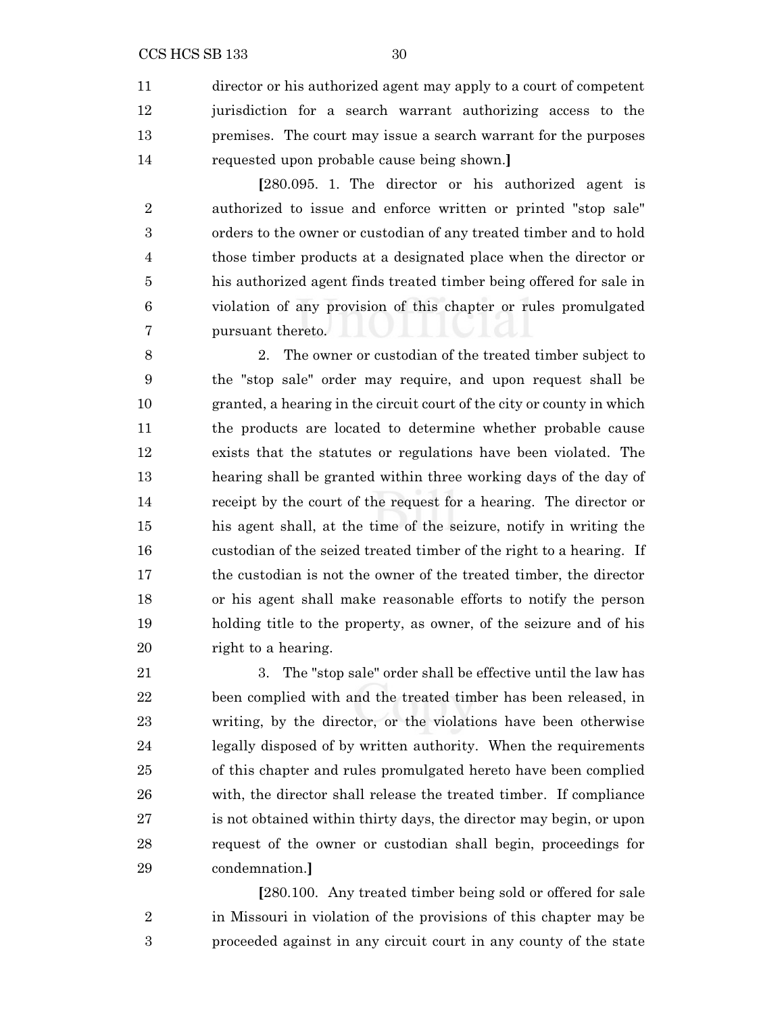director or his authorized agent may apply to a court of competent jurisdiction for a search warrant authorizing access to the premises. The court may issue a search warrant for the purposes requested upon probable cause being shown.**]**

**[**280.095. 1. The director or his authorized agent is authorized to issue and enforce written or printed "stop sale" orders to the owner or custodian of any treated timber and to hold those timber products at a designated place when the director or his authorized agent finds treated timber being offered for sale in violation of any provision of this chapter or rules promulgated pursuant thereto.

 2. The owner or custodian of the treated timber subject to the "stop sale" order may require, and upon request shall be granted, a hearing in the circuit court of the city or county in which the products are located to determine whether probable cause exists that the statutes or regulations have been violated. The hearing shall be granted within three working days of the day of receipt by the court of the request for a hearing. The director or his agent shall, at the time of the seizure, notify in writing the custodian of the seized treated timber of the right to a hearing. If the custodian is not the owner of the treated timber, the director or his agent shall make reasonable efforts to notify the person holding title to the property, as owner, of the seizure and of his right to a hearing.

 3. The "stop sale" order shall be effective until the law has been complied with and the treated timber has been released, in writing, by the director, or the violations have been otherwise legally disposed of by written authority. When the requirements of this chapter and rules promulgated hereto have been complied with, the director shall release the treated timber. If compliance is not obtained within thirty days, the director may begin, or upon request of the owner or custodian shall begin, proceedings for condemnation.**]**

**[**280.100. Any treated timber being sold or offered for sale in Missouri in violation of the provisions of this chapter may be proceeded against in any circuit court in any county of the state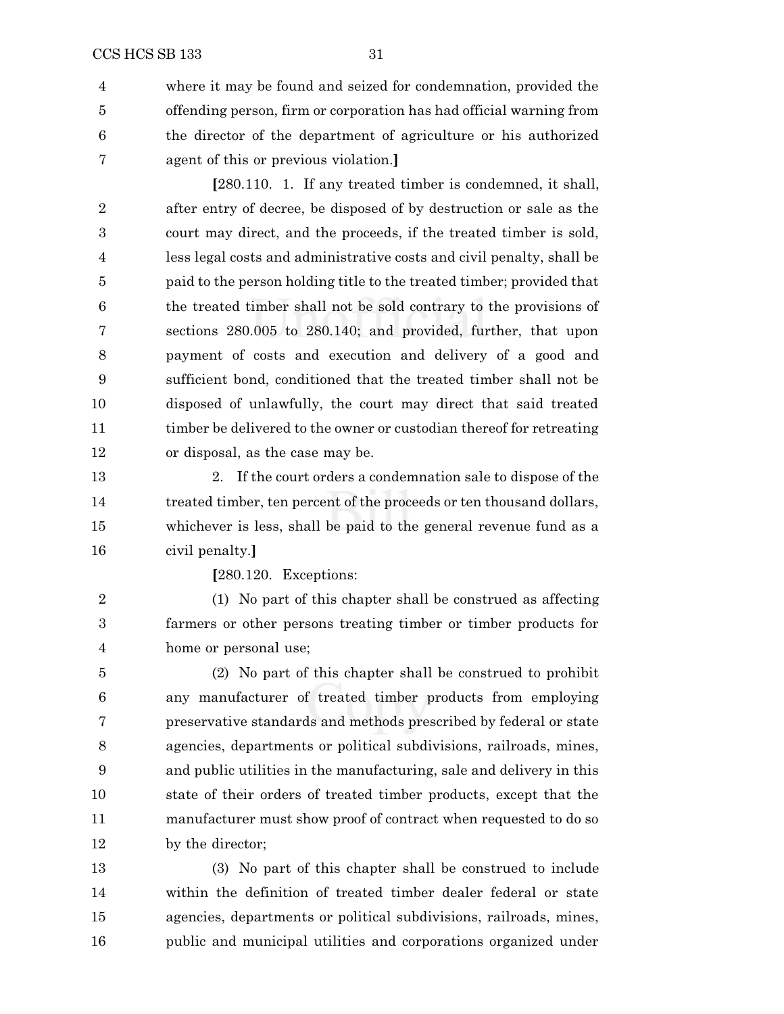$CCS HCS SB 133$   $31$ 

 where it may be found and seized for condemnation, provided the offending person, firm or corporation has had official warning from the director of the department of agriculture or his authorized agent of this or previous violation.**]**

**[**280.110. 1. If any treated timber is condemned, it shall, after entry of decree, be disposed of by destruction or sale as the court may direct, and the proceeds, if the treated timber is sold, less legal costs and administrative costs and civil penalty, shall be paid to the person holding title to the treated timber; provided that the treated timber shall not be sold contrary to the provisions of sections 280.005 to 280.140; and provided, further, that upon payment of costs and execution and delivery of a good and sufficient bond, conditioned that the treated timber shall not be disposed of unlawfully, the court may direct that said treated 11 timber be delivered to the owner or custodian thereof for retreating or disposal, as the case may be.

 2. If the court orders a condemnation sale to dispose of the treated timber, ten percent of the proceeds or ten thousand dollars, whichever is less, shall be paid to the general revenue fund as a civil penalty.**]**

**[**280.120. Exceptions:

 (1) No part of this chapter shall be construed as affecting farmers or other persons treating timber or timber products for home or personal use;

 (2) No part of this chapter shall be construed to prohibit any manufacturer of treated timber products from employing preservative standards and methods prescribed by federal or state agencies, departments or political subdivisions, railroads, mines, and public utilities in the manufacturing, sale and delivery in this state of their orders of treated timber products, except that the manufacturer must show proof of contract when requested to do so 12 by the director;

 (3) No part of this chapter shall be construed to include within the definition of treated timber dealer federal or state agencies, departments or political subdivisions, railroads, mines, public and municipal utilities and corporations organized under